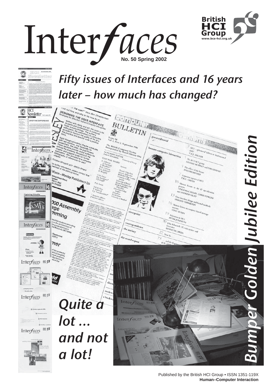





Published by the British HCI Group • ISSN 1351-119X**1 Human–Computer Interaction**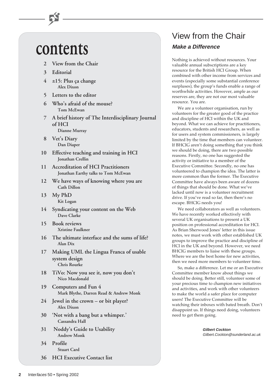# **contents**

- **2 View from the Chair**
- **3 Editorial**
- **4** ±**15: Plus ça change Alex Dixon**
- **5 Letters to the editor**
- **6 Who's afraid of the mouse? Tom McEwan**
- **7 A brief history of The Interdisciplinary Journal of HCI Dianne Murray**
- **8 Vet's Diary Dan Diaper**
- **10 Effective teaching and training in HCI Jonathan Crellin**
- **11 Accreditation of HCI Practitioners Jonathan Earthy talks to Tom McEwan**
- **12 We have ways of knowing where you are Cath Dillon**
- **13 My PhD Kit Logan**
- **14 Syndicating your content on the Web Dave Clarke**
- **15 Book reviews Xristine Faulkner**
- **16 The ultimate interface and the sums of life? Alan Dix**
- **17 Making UML the Lingua Franca of usable system design Chris Rourke**
- **18 TiVo: Now you see it, now you don't Nico Macdonald**
- **19 Computers and Fun 4 Mark Blythe, Darren Read & Andrew Monk**
- **24 Jewel in the crown or bit player? Alex Dixon**
- **30 'Not with a bang but a whimper.' Cassandra Hall**
- **31 Noddy's Guide to Usability Andrew Monk**
- **34 Profile Stuart Card**
- **36 HCI Executive Contact list**

# View from the Chair **Make a Difference**

Nothing is achieved without resources. Your valuable annual subscriptions are a key resource for the British HCI Group. When combined with other income from services and events (especially some substantial conference surpluses), the group's funds enable a range of worthwhile activities. However, ample as our reserves are, they are not our most valuable resource. You are.

We are a volunteer organisation, run by volunteers for the greater good of the practice and discipline of HCI within the UK and beyond. What we can achieve for practitioners, educators, students and researchers, as well as for users and system commissioners, is largely limited by the time that members can volunteer. If BHCIG aren't doing something that you think we should be doing, there are two possible reasons. Firstly, no one has suggested the activity or initiative to a member of the Executive Committee. Secondly, no one has volunteered to champion the idea. The latter is more common than the former. The Executive Committee have always been aware of dozens of things that should be done. What we've lacked until now is a volunteer recruitment drive. If you've read so far, then there's no escape. BHCIG needs you!

We need collaborators as well as volunteers. We have recently worked effectively with several UK organisations to present a UK position on professional accreditation for HCI. As Brian Sherwood Jones' letter in this issue notes, we must work with other established UK groups to improve the practice and discipline of HCI in the UK and beyond. However, we need BHCIG members to liaise with these groups. Where we are the best home for new activities, then we need more members to volunteer time.

So, make a difference. Let me or an Executive Committee member know about things we should be doing. Better still, volunteer some of your precious time to champion new initiatives and activities, and work with other volunteers to make the world a safer place for computer users! The Executive Committee will be watching their inboxes with bated breath. Don't disappoint us. If things need doing, volunteers need to get them going.

> **Gilbert Cockton** Gilbert.Cockton@sunderland.ac.uk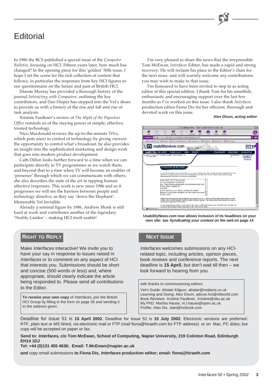# **Editorial**

In 1986 the BCS published a special issue of the *Computer Bulletin*, focusing on HCI. Fifteen years later, how much has changed? In the opening piece for this 'golden' 50th issue, I hope I set the scene for the rich collection of content that follows, in particular the responses from key HCI figures to our questionnaire on the future and past of British HCI.

Dianne Murray has provided a thorough history of the journal *Interacting with Computers*, outlining the key contributors, and Dan Diaper has stepped into the Vet's shoes to provide us with a history of the rise and fall and rise of task analysis.

Xristine Faulkner's review of *The Myth of the Paperless Office* reminds us of the staying power of simple, effective, trusted technology.

Nico Macdonald reviews the up-to-the-minute TiVo, which puts users in control of technology by giving viewers the opportunity to control what's broadcast; he also provides an insight into the sophisticated marketing and design work that goes into modern product development.

Cath Dillon looks further forward to a time when we can participate directly in TV programmes as we watch them, and beyond that to a time when TV will become an enabler of 'presence' through which we can communicate with others; she also describes the state of the art in tapping human affective responses. This work is new since 1986 and as it progresses we will see the barriers between people and technology dissolve; as they say 'down the Elephant': Memorable Yet Invisible.

Already a seminal figure by 1986, Andrew Monk is still hard at work and contributes another of the legendary 'Noddy Guides' – making HCI itself usable!

## **RIGHT TO REPLY**

Make Interfaces interactive! We invite you to have your say in response to issues raised in Interfaces or to comment on any aspect of HCI that interests you. Submissions should be short and concise (500 words or less) and, where appropriate, should clearly indicate the article being responded to. Please send all contributions to the Editor.

**To receive your own copy** of Interfaces, join the British HCI Group by filling in the form on page 35 and sending it to the address given.

I'm very pleased to share the news that the irrepressible Tom McEwan, *Interfaces* Editor, has made a rapid and strong recovery. He will reclaim his place in the Editor's chair for the next issue, and will warmly welcome any contributions you may wish to make to that issue.

I'm honoured to have been invited to step in as acting editor of this special edition. I thank Tom for his unselfish, enthusiastic and encouraging support over the last few months as I've worked on this issue. I also thank *Interfaces* production editor Fiona Dix for her efficient, thorough and devoted work on this issue.

### **Alex Dixon, acting editor**



**UsabilityNews.com now allows inclusion of its headlines on your own site: see Syndicating your content on the web on page 14**

### **NEXT ISSUE**

Interfaces welcomes submissions on any HCIrelated topic, including articles, opinion pieces, book reviews and conference reports. The next deadline is **15 April**, but don't wait till then – we look forward to hearing from you.

with thanks to commissioning editors:

Vet's Guide: Alistair Kilgour, alistair@realaxis.co.uk Learning and Doing: Alex Dixon, adixon.hci@ntlworld.com Book Reviews: Xristine Faulkner, Xristine@sbu.ac.uk My PhD: Martha Hause, m.l.hause@open.ac.uk Profile: Alan Dix, alan@hcibook.com

Deadline for issue 51 is **15 April 2002**. Deadline for issue 52 is **15 July 2002**. Electronic versions are preferred: RTF, plain text or MS Word, via electronic mail or FTP (mail fiona@hiraeth.com for FTP address) or on Mac, PC disks; but copy will be accepted on paper or fax.

**Send to: Interfaces, c/o Tom McEwan, School of Computing, Napier University, 219 Colinton Road, Edinburgh EH14 1DJ**

### **Tel: +44 (0)131 455 4636; Email: T.McEwan@napier.ac.uk**

**and** copy email submissions **to Fiona Dix, Interfaces production editor; email: fiona@hiraeth.com**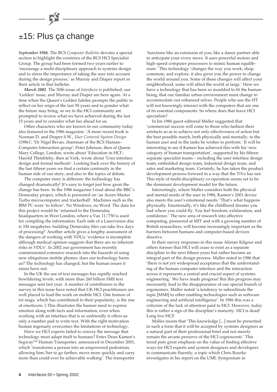# ±15: Plus ça change

*September 1986*. The BCS *Computer Bulletin* devotes a special section to highlight the existence of the BCS HCI Specialist Group. The group had been formed two years earlier to 'encourage a multi-disciplinary approach to systems design and to stress the importance of taking the user into account during the design process,' as Murray and Diaper report in their article in that bulletin.

*March 2002*. The 50th issue of *Interfaces* is published, our 'Golden' issue, and Murray and Diaper are here again. At a time when the Queen's Golden Jubilee prompts the public to reflect on her reign of the last 50 years and to ponder what the future may bring, so we in the HCI community are prompted to review what we have achieved during the last 15 years and to consider what lies ahead for us.

Other characters who are known in our community today also featured in the 1986 magazine: 'A more recent book is Norman D. and Draper S.W., *User Centered System Design* (1986)'; 'Dr Nigel Bevan, chairman of the BCS Human– Computer Interaction group'; Peter Johnson, then of Queen Mary College, London, wrote about 'Education in HCI'; Harold Thimbleby, then at York, wrote about 'User interface design and formal methods'. Looking back over the history of the last fifteen years we find a certain continuity in the human side of our story, and also in the topics of debate.

The computer story is different: the technology has changed dramatically! It's easy to forget just how great the change has been. In the 1986 magazine I read about the BBC's Domesday project, which is presented on 'an Acorn Master Turbo microcomputer and trackerball'. Machines such as the IBM PC were 'to follow'. No Windows, no Word. The data for this project would be 'returned to the Domesday headquarters in West London, where a Vax 11/750 is used for compiling the information. Each side of a Laservision disc is 330 megabytes: building Domesday files can take five days of processing!' Another article gives a lengthy assessment of the dangers of working with VDUs: 'evidence is incomplete although medical opinion suggests that there are no inherent risks in VDUs'. In 2002 our government has recently commissioned extensive research into the hazards of using now ubiquitous mobile phones: does our technology harm us? The technology has changed, but the human issues it raises have not.

In the UK the use of text messages has rapidly reached bewildering levels, with more than 260 billion SMS text messages sent last year. A number of contributors to the survey in this issue have noted that UK HCI practitioners are well placed to lead the work on mobile HCI. One feature of txt msgs, which has contributed to their popularity, is the rise of emoticons :) This illustrates the human need to express emotion along with facts and information, even when working with an interface that is so unfriendly it offers us only a number pad to write text. With the right motivation human ingenuity overcomes the limitations of technology.

Have we HCI experts failed to convey the message that technology must adapt itself to humans? Enter Dean Kamen's Segway™ Human Transporter, announced in December 2001, which 'transforms a person into an empowered pedestrian, allowing him/her to go farther, move more quickly and carry more than could ever be achievable walking'. The transporter

'functions like an extension of you; like a dance partner able to anticipate your every move. It uses powerful motors and high-speed computer processors to mimic human equilibrium.' This technology 'changes the way you work, shop, commute, and explore, it also gives you the power to change the world around you. Some of these changes will affect your neighborhood, some will affect the world at large.' Here we have a technology that has been so moulded to fit the human being, that our familiar urban environment must change to accommodate our enhanced selves. People who use the HT will not knowingly interact with the computers that are one of its essential components. So where does that leave HCI specialists?

In his 1986 guest editorial Maller suggested that 'commercial success will come to those who fashion their artefacts so as to achieve not only effectiveness of action but the best possible match, both physically and mentally, to the human user and to the tasks he wishes to perform.' It will be interesting to see if Kamen has achieved this with his 'new category of human transportation', supported by his fifteen separate specialist teams – including the user interface design team, embedded design team, industrial design team, and sales and marketing team. Certainly, he has taken the product development process forward in a way that the TiVo has not. This style of multi-disciplinary co-operation seems set to be the dominant development model for the future.

Interestingly, where Maller considers both the physical and mental needs of the user in 1986, Kamen's 2001 device also meets the user's emotional needs: 'That's what happens physically. Emotionally, it's like the childhood dreams you had where you could fly. You feel freedom, exhilaration, and confidence.' The new area of research into affective computing, pioneered at MIT and with a growing number of British researchers, will become increasingly important as the barriers between humans and computer-based devices dissolve.

In their survey responses in this issue Alistair Kilgour and others foresee that HCI will cease to exist as a separate discipline in the next fifteen years but rather become an integral part of the design process. Maller noted in 1986 that 'there is not yet widespread acceptance that the understanding of the human computer interface and the interaction across it represents a central and crucial aspect of systems engineering.' We have made progress! But this progress may necessarily lead to the disappearance of our special branch of ergonomics. Maller noted 'a tendency to subordinate the topic [MMI] to other enabling technologies such as software engineering and artificial intelligence'. In 1986 this was a criticism of the lack of attention paid to HCI. However, today this is rather a sign of the discipline's maturity. HCI is dead! Long live HCI!

Maller insists that 'This knowledge [...] must be presented in such a form that it will be accepted by systems designers as a natural part of their professional brief and not merely remain the arcane preserve of the HCI cognoscenti.' This trend puts great emphasis on the value of finding effective ways for HCI experts and system designers and developers to communicate fluently, a topic which Chris Rourke investigates in his report on the UML Symposium in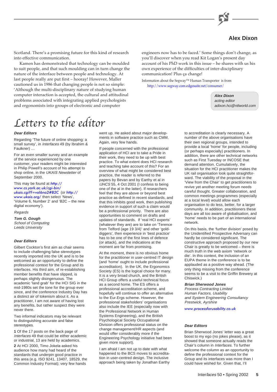

# **Alex Dixon**

Scotland. There's a promising future for this kind of research into effective communication.

Kamen has demonstrated that technology can be moulded to suit people, and that such moulding can in turn change the nature of the interface between people and technology. At last people really are put first – hooray! However, Maller cautioned us in 1986 that changing people is not so simple: 'Although the multi-disciplinary nature of studying human computer interaction is accepted, the cultural and attitudinal problems associated with integrating applied psychologists and ergonomists into groups of electronic and computer

# Letters to the editor

#### **Dear Editors**

Regarding 'The future of online shopping: a small survey', in Interfaces 49 (by Ibrahim & Faulkner) …

For an even smaller survey and an example of the service experienced by one customer, your readers might be interested in Philip Powell's account of his attempt to shop online, in the UKAIS Newsletter of September 2000.

This may be found at http:// [www.cs.york.ac.uk/cgi-bin/](http://www.cs.york.ac.uk/cgi-bin/ukais.cgi?f=vol6no2#B2C) ukais.cgi?f=vol6no2#B2C (or [http://](http://www.ukais.org/) [www.ukais.org/](http://www.ukais.org/) then select 'News', 'Volume 6, Number 2' and 'B2C – the new digital economy').

Regards

**Tom G. Gough** School of Computing Leeds University

### **Dear Editors**

Gilbert Cockton's first aim as chair seems to include challenging false stereotypes recently imported into the UK and is to be welcomed as an opportunity to define the professional context for the Group and its interfaces. His third aim, of re-establishing member benefits that have slipped, is perhaps slightly disingenuous. The academic 'land grab' for the HCI SIG in the mid-1980s set the tone for the group ever since, and the conference Industry Day has a distinct air of tokenism about it. As a practitioner, I am not aware of having lost any benefits, but rather suspect they were never there.

Two informal indicators may be relevant to distinguishing accurate and false stereotypes.

**1** Of the 17 posts on the back page of Interfaces 49 that could be either academic or industrial, 13 are held by academics.

**2** At HCI 2000, Timo Jokela asked his audience how many had heard of the standards that underpin good practice in this area (e.g. ISO 9241, 13407, 18529, the Common Industry Format); very few hands

went up. He asked about major developments in software practice such as CMM. Again, very few hands.

If people concerned with the professional application of HCI are to take a Pride in their work, they need to be up with best practice. To what extent does HCI research and teaching take account of this? For an overview of what might be considered best practice, the reader is referred to the papers by Bevan and by Earthy et al in IJHCS 55, 4 Oct 2001 (I confess to being one of the al in the latter). If researchers feel that they are above or beyond best practice as defined in recent standards, and that this inhibits good work, then publishing evidence in support of such a claim would be a professional priority. There are also opportunities to comment on drafts and updates of standards. If 'real HCI experts' (whatever they are) are to take on 'Terence from Telford (age 19 3/4)' and other 'golddiggers', then experience in 'best practice' has to be one of the first lines of defence (or attack), and the indications at the moment are far from promising.

At the moment, there is no obvious home for the practitioner in user-centred IT design (and 'home' ought to include professional accreditation). In the UK, the Ergonomics Society (ES) is the logical choice for many. It is a very broad church, and the British HCI Group offers a useful technical focus as a second home. The ES offers a professional accreditation scheme, and hopefully will continue to offer an alternative to the Eur.Ergs scheme. However, the professional stakeholders' organisations also include the IEE (especially now with the Professional Network in Human Systems Engineering), and the British Psychological Society Occupational Division offers professional status on the change management/HR aspects (and would offer considerably more if the Engineering Psychology initiative had been given more support).

I am afraid I am not up to date with what happened to the BCS moves to accreditation in user-centred design. The inclusive approach being taken by Jonathan Earthy

engineers now has to be faced.' Some things don't change, as you'll discover when you read Kit Logan's present day account of his PhD work in this issue – he shares with us his own experience of the difficulties of inter-disciplinary communication! Plus ça change!

Information about the Segway™ Human Transporter is from [http://www.segway.com.edgesuite.net/consumer/](http://www.segway.com/segway/)

> **Alex Dixon** acting editor adixon.hci@ntlworld.com

to accreditation is clearly necessary. A number of the above organisations have their own regional groups, intended to provide a local 'home' for people, including (or perhaps especially) practitioners. In addition, there are other technical networks such as First Tuesday or INCOSE that demand attention. Cumulatively, the situation for the HCI practitioner makes the UK rail organisation look quite straightforward. The viability of the proposal in the 'View from the Chair' to get practitioners to revive yet another meeting forum needs careful thought. Greater collaboration, and common meetings programmes (especially at a local level) would allow each organisation to do less, better, for a larger community. In addition, practitioners these days are all too aware of globalisation, and 'home' needs to be part of an international network.

On this basis, the 'further division' posed by the Unidentified Prospective Adversary can hardly be considered significant. The constructive approach proposed by our new Chair is greatly to be welcomed – there is much truth in the web axiom 'network or die'. In this context, the inclusion of an EUPA theme in the conference is to be applauded as a positive way ahead. (The only thing missing from the conference seems to be a visit to the Griffin Brewery at Chiswick.)

### **Brian Sherwood Jones**

Process Contracting Limited Human Factors, Usability and System Engineering Consultancy Prestwick, Ayrshire

[www.processforusability.co.uk](http://www.processforusability.co.uk)

### **Dear Editors**

Brian Sherwood Jones' letter was a great boost to my ego (no jokes please), as it showed that someone actually reads the Chair's column in Interfaces. To further welcome the column as an opportunity to define the professional context for the Group and its interfaces was more than I could have wished for. Given that, I'll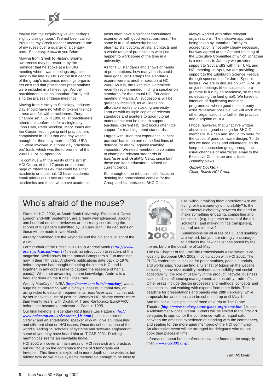

forgive him the exquisitely veiled 'perhaps' slightly disingenuous'. I've not been called this since my Greek teacher uncovered one of my ruses over a quarter of a century back. So 'οπισφυλακω to you Brian!

Moving from Greek to History, Brian's awareness may be restored by the reminder that he spoke at a BHCIG meeting when I was meetings organiser back in the late 1980s. For the first decade of the group's existence, meetings organisers ensured that practitioner presentations were included in all meetings. Worthy practitioners such as Jonathan Earthy still sing the praises of these meetings.

Moving from History to Sociology, Industry Day should have no whiff of tokenism since it rose and fell with practitioners. Rory Channor set it up in 1996 to let practitioners attend the conference for a single day. John Cato, Peter Windsor, Mary Jones and Ian Curson kept it going until practitioners complained in 2000 that one day wasn't enough for them any more. In 2001 UPA UK were involved in a three day practitioners' track, which was the forerunner of the 2002 EUPA co-operation.

To continue with the reality of the British HCI Group, of the 17 posts on the back page of Interfaces 49 that could be either academic or industrial, 13 have academic email addresses. They are not all academics and those who have academic posts often have significant consultancy experience with good repeat business. The same is true of university-based pharmacists, doctors, artists, architects and a whole range of practitioners who just happen to work some of the time in a university.

As for HCI standards and shows of hands at presentations, how many hands could have gone up? Perhaps the standards experts were at another session at HCI 2000! As it is, the Executive Committee recently recommended finding a speaker on standards for the annual HCI Education meeting in March. All suggestions will be gratefully received, as will ideas on affordable routes to stocking university libraries with multiple copies of relevant standards and pointers to good tutorial material that can be used to support teaching. Current HCI text books offer little support for teaching about standards.

I agree with Brian that experience in 'best practice' has to be one of the first lines of defence (or attack) against usability imposters. We need members to volunteer to champion relevant standards in Interfaces and Usability News, since both these can keep educators updated on current trends.

So, enough of the rebuttals, let's focus on defining the professional context for the Group and its interfaces. BHCIG has

always worked with other relevant organisations. The inclusive approach being taken by Jonathan Earthy to accreditation is not only clearly necessary but was agreed at the October meeting of the Executive Committee of which Jonathan is a member. In January we provided support to ScotlandIS with their UML and HCI meeting. In April, we are providing support to the Edinburgh Science Festival through sponsorship for Jared Spool's lecture. We are in discussion with UPA UK on joint meetings (their successful programme is run by an academic, so there's no escaping the land grab!). We have no intention of duplicating meetings programmes where good ones already exist. Wherever possible, we will work with other organisations to further the practice and discipline of HCI.

I hope, however, that what I've written above is not good enough for BHCIG members. We can and should do more for the cause of good software design. To do this we need ideas and volunteers, so do keep this discussion going through the usual channels of Interfaces, email to the Executive Committee and articles in Usability News.

**Gilbert Cockton** Chair, British HCI Group

# Who's afraid of the mouse?

Plans for HCI 2002, at South Bank University, Elephant & Castle, London 2nd–6th September, are already well advanced. Around one hundred eminent reviewers are currently considering the scores of full papers submitted by January 16th. The decisions on these will be made in late March.

Already confirmed are the keynotes and the big social event of the week.

[Former chair of the British HCI Group Andrew Monk \(](http://www-users.york.ac.uk/~am1/)http://wwwusers.york.ac.uk/~am1/) needs no introduction to readers of this magazine. Well known for the annual Computers & Fun meetings, now in their fifth year, Andrew's publications date back to 1976, before anyone had thought of putting the letters H,C, and I together, in any order (save to capture the essence of half a panda). When not advancing human knowledge, Andrew is a frequent diner on the Kings Cross train.

Wendy MacKay of INRIA (<http://www-ihm.lri.fr/~mackay>) was a huge hit at Interact'99 with a highly successful tutorial day, on using video to establish requirements. Interfaces was much struck by her innovative use of post-its. Wendy's HCI history covers more than twenty years, with Digital, MIT and RankXerox EuroPARC before she became a professor at Paris in 1995.

[Our final keynote is legendary R&B figure Les Hatton \(](http://www.oakcomp.co.uk/Presenter_LH.html)http:// www.oakcomp.co.uk/Presenter\_LH.html ). Les is author of Safer C and an entertaining speaker who will give an interesting and different slant on HCI issues. Once described as 'one of the world's leading 15 scholars of systems and software engineering', some of you may have heard him at ITiCSE 2001. Duelling harmonicas seems an inevitable finale.

HCI 2002 will cover all main areas of HCI research and practice, but will focus on the conference theme of 'Memorable yet Invisible'. This theme is explored in more depth on the website, but briefly: how do we make systems memorable enough to be easy to



use, without making them obtrusive? Are we trying for transparency or invisibility? Is the fundamental dichotomy between the need to make something engaging, compelling and noticeable (e.g. high tech or state of the art solutions), and making things transparent, natural and intuitive?

Submissions on all areas of HCI and usability are invited, but you are strongly encouraged to address the new challenges posed by the theme, before the deadline of 1st May.

The UK Chapter of the Usability Professionals Association is colocating European UPA 2002 in conjunction with HCI 2002. The EUPA conference is looking for presentations, panels, tutorials, and workshops. You can find a fuller list of topics on the website including: innovative usability methods, accessibility and social acceptability, the role of usability in the product lifecycle, business case studies, influencing management, and usability trade-offs. Other areas include design processes and methods, concepts and philosophies, and working with experts from other fields. The deadline for presentations and panels was 28th February, while proposals for workshops can be submitted up until May 1st.

And the social highlight is confirmed as a trip to The Globe Theatre (<http://www.shakespeares-globe.org/home.htm> ) to see A Midsummer Night's Dream. Tickets will be limited to the first 270 delegates to sign up for the conference, with an equal split between the amazing experience of standing with the commoners, and seating for the more aged members of the HCI community. An alternative event will be arranged for delegates who do not book their places in time.

Information about both conferences can be found at the snappily titled [www.hci2002.org/](http://www.hci2002.org/).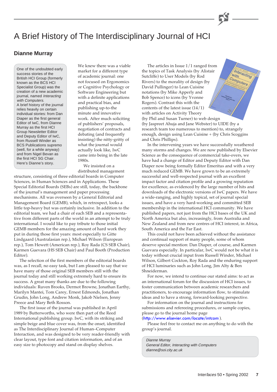# A Brief History of The Interdisciplinary Journal of HCI

### **Dianne Murray**

One of the undoubted early success stories of the British HCI Group (formerly known as the BCS HCI Specialist Group) was the creation of a new academic journal, named Interacting with Computers. A brief history of the journal relies heavily on certain individual stories: from Dan Diaper as the first general Editor of IwC, from Dianne Murray as the first HCI Group Newsletter Editor and Deputy Editor of IwC, from Russell Winder as BCS Publications supremo (well, for a while anyway) and from Nigel Bevan as the first HCI SG Chair. Here's Dianne's story.

We knew there was a viable market for a different type of academic journal: one not focused on Ergonomics or Cognitive Psychology or Software Engineering but with a definite applications and practical bias, and publishing up-to-the minute and innovative work. After much soliciting of publishers' proposals, negotiation of contracts and debating (and frequently insisting) the nitty-gritty of what the journal would actually look like, IwC came into being in the late 1980s.

We insisted on a distributed management

structure, consisting of three editorial boards in Computer Sciences, in Human Sciences and in Applications. These Special Editorial Boards (SEBs) are still, today, the backbone of the journal's management and paper processing mechanisms. All was overseen by a General Editorial and Management Board (GEMB), which, in retrospect, looks a little top-heavy but was certainly inclusive. In addition to the editorial team, we had a chair of each SEB and a representative from different parts of the world in an attempt to be truly international. I would like to pay tribute to those initial GEMB members for the amazing amount of hard work they put in during those first years: most especially to Gitte Lindgaard (Australasian rep.), Michael Wilson (European rep.), Tom Hewett (American rep.), Roy Rada (CS SEB Chair), Karmen Guevara (HS SEB Chair) and Paul Booth (Production Editor).

The selection of the first members of the editorial boards was, as I recall, no easy task, but I am pleased to say that we have many of those original SEB members still with the journal today and still working extremely hard to ensure its success. A great many thanks are due to the following individuals: Ruven Brooks, Dermot Browne, Jonathan Earthy, Marilyn Mantei, Tom Carey, Ernest Edmonds, Jonathan Grudin, John Long, Andrew Monk, Jakob Nielsen, Jenny Preece and Mary Beth Rosson.

The first issue of the journal was published in April 1989 by Butterworths, who were then part of the Reed International publishing group. IwC, with its striking and simple beige and blue cover was, from the onset, identified as The Interdisciplinary Journal of Human–Computer Interaction, and was designed to be very reader-friendly with clear layout, type font and citation information, and of an easy size to photocopy and stand on display shelves.

The articles in Issue 1/1 ranged from the topics of Task Analysis (by Alistair with Sutcliffe) to User Models (by Rod Computers Rivers) to the morality of design (by David Pullinger) to Lean Cuisine notations (by Mike Apperly and Bob Spence) to icons (by Yvonne Rogers). Contrast this with the contents of the latest issue (14/1) with articles on Activity Theory (by Phil and Susan Turner) to web design (by Jaspreet Ahuja and Jane Webster) to UIDE (by a

Theracting

research team too numerous to mention) to, strangely enough, design using Lean Cuisine + (by Chris Scoggins and Chris Phillips).

In the intervening years we have successfully weathered many storms and changes. We are now published by Elsevier Science as the consequence of commercial take-overs, we have had a change of Editor and Deputy Editor with Dan Diaper now being formally Editor Emeritus and with a very much reduced GEMB. We have grown to be an extremely successful and well-respected journal with an excellent impact factor and citation profile and a growing reputation for excellence, as evidenced by the large number of hits and downloads of the electronic versions of IwC papers. We have a wide-ranging, and highly topical, set of journal special issues, and have a very hard-working and committed SEB membership in the international HCI community. We have published papers, not just from the HCI bases of the UK and North America but also, increasingly, from Australia and New Zealand and from new centres of HCI interest, in Africa, South America and the Far East.

This could not have been achieved without the assistance and continual support of many people, some of whom deserve special mention: Dan Diaper, of course, and Karmen Guevara especially. In particular, IwC would not be what it is today without crucial input from Russell Winder, Michael Wilson, Gilbert Cockton, Roy Rada and the enduring support of HCI luminaries such as John Long, Jim Alty & Ben Shneiderman.

For now, we intend to continue our stated aims: to act as an international forum for the discussion of HCI issues, to foster communication between academic researchers and practitioners, to encourage information flow, to stimulate ideas and to have a strong, forward-looking perspective.

For information on the journal and instructions for submissions and refereeing procedures, or sample copies, please go to the journal home page

### (<http://www.elsevier.com/locate/intcom> ).

Please feel free to contact me on anything to do with the group's journal.

Dianne Murray General Editor, Interacting with Computers dianne@soi.city.ac.uk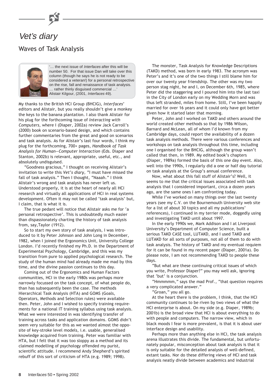

# Vet's diary Waves of Task Analysis



'… the next issue of Interfaces after this will be number 50. For that issue Dan will take over this column (though he says he is not ready to be considered a veteran!) for a personal retrospective on the rise, fall and renaissance of task analysis. … rather thinly disguised commercial …' Alistair Kilgour, (2001, Interfaces 49).

My thanks to the British HCI Group (BHCIG), *Interfaces*' editors and Alistair, but you really shouldn't give a monkey the keys to the banana plantation. I also thank Alistair for his plug for the forthcoming issue of *Interacting with Computers*, where I (Diaper, 2002a) review Jack Carroll's (2000) book on scenario-based design, and which contains further commentaries from the great and good on scenarios and task analysis. As for Alistair's last four words, I think my plug for the forthcoming, 700+ pages, *Handbook of Task Analysis for Human—Computer Interaction* (Eds. Diaper and Stanton, 2002b) is relevant, appropriate, useful, etc., and absolutely undisguised.

"Goodness gracious," I thought on receiving Alistair's invitation to write this *Vet's diary*, "I must have missed the fall of task analysis." Then I thought, "Naaah." I think Alistair's wrong and task analysis has never left us. Understood properly, it is at the heart of nearly all HCI research and virtually all applications of HCI in real systems development. Often it may not be called 'task analysis' but, I claim, that is what it is.

The true pedant will notice that Alistair asks me for 'a personal retrospective'. This is undoubtedly much easier than dispassionately charting the history of task analysis from, say,Taylor (1912).

So to start my own story of task analysis, I was introduced to it by Peter Johnson and John Long in December, 1982, when I joined the Ergonomics Unit, University College London. I'd recently finished my Ph.D. in the Department of Experimental Psychology, Cambridge, and this was my transition from pure to applied psychological research. The study of the human mind had already made me mad by this time, and the divine passion continues to this day.

Coming out of the Ergonomics and Human Factors communities, HCI in the early 1980s was perhaps more narrowly focussed on the task concept, of what people do, than has subsequently been the case. The methods Hierarchical Task Analysis (HTA) and GOMS (Goals, Operators, Methods and Selection rules) were available then. Peter, John and I wished to specify training requirements for a national IT training syllabus using task analysis. What we were interested in was identifying transfer of training across tasks and application domains. GOMS didn't seem very suitable for this as we wanted almost the opposite of key-stroke level models, i.e. usable, generalised knowledge acquired from training. Peter was familiar with HTA, but I felt that it was too sloppy as a method and its claimed modelling of psychology offended my purist, scientific attitude. I recommend Andy Shepherd's spirited rebuff of this sort of criticism of HTA (e.g. 1989; 1998).

The monster, Task Analysis for Knowledge Descriptions (TAKD) method, was born in early 1983. The acronym was Peter's and it's one of the two things I still blame him for over our twenty year friendship. The other was my two person stag night, he and I, on December 6th, 1985, where Peter did the staggering and I poured him into the last taxi in the City of London early on my Wedding Morn and was thus left stranded, miles from home. Still, I've been happily married for over 16 years and it could only have got better given how it started later that morning.

Peter, John and I worked on TAKD and others around the world created other methods so that by 1986 Wilson, Barnard and McLean, all of whom I'd known from my Cambridge days, could report the availability of a dozen task analysis methods. There were various conferences and workshops on task analysis throughout this time, including one I organised for the BHCIG, although the group wasn't called that then, in 1989. My edited book's chapters (Diaper, 1989a) formed the basis of this one day event. Also, well into the 1990s, I regularly did a one or half day tutorial on task analysis at the Group's annual conference.

Now, what about this fall stuff of Alistair's? Well, it seems to me that the critical issues associated with task analysis that I considered important, circa a dozen years ago, are the same ones I am confronting today.

While I've worked on many things over the last twenty years (see my C.V. on the Bournemouth University web site for a list of about 30 topics and all my publications' references), I continued in my terrier mode, doggedly using and investigating TAKD until about 1997.

In the early 1990s we, Mark Addison and I at Liverpool University's Department of Computer Science, built a serious TAKD CASE tool, LUTAKD, and I used TAKD and LUTAKD for all sorts of purposes, not all of them to do with task analysis. The history of TAKD and my eventual requiem for it can be found in my recent paper (Diaper, 2001a). Do please note, I am not recommending TAKD to people these days.

"But what are these continuing critical issues of which you write, Professor Diaper?" you may well ask, ignoring that 'but' is a conjunction.

"Hmmmmm," says the mad Prof., "that question requires a very complicated answer."

"Groan," you all go.

At the heart there is the problem, I think, that the HCI community continues to be riven by two views of what the HCI enterprise is about. On my side (e.g. Diaper, 1989b; 2001b) is the broad view that HCI is about everything to do with people and computers. The narrow view, which in black moods I fear is more prevalent, is that it is about user interface design and usability.

Perhaps more than anything else in HCI, the task analysis arena illustrates this divide. The fundamental, but unfortunately popular, misconception about task analysis is that it is only suitable for the detailed analysis of well-defined, extant tasks. Nor do these differing views of HCI and task analysis neatly divide between academics and industrial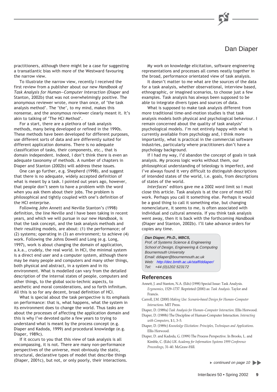# Dan Diaper

practitioners, although there might be a case for suggesting a transatlantic bias with more of the Westward favouring the narrow view.

To illustrate the narrow view, recently I received the first review from a publisher about our new *Handbook of Task Analysis for Human—Computer Interaction* (Diaper and Stanton, 2002b) that was not overwhelmingly positive. The anonymous reviewer wrote, more than once, of 'the task analysis method'. The 'the', to my mind, makes this nonsense, and the anonymous reviewer clearly meant it. It's akin to talking of 'The HCI Method'.

For a start, there are a plethora of task analysis methods, many being developed or refined in the 1990s. These methods have been developed for different purposes, use different sorts of data and are differently suited for different application domains. There is no adequate classification of tasks, their components, etc., that is domain independent. Indeed, I don't think there is even an adequate taxonomy of methods. A number of chapters in Diaper and Stanton (2002b) will address these issues.

One can go further, e.g. Shepherd (1998), and suggest that there is no adequate, widely accepted definition of what is meant by a task. I pointed out years ago, however, that people don't seem to have a problem with the word when you ask them about their jobs. The problem is philosophical and tightly coupled with one's definition of the HCI enterprise.

Following John Annett and Neville Stanton's (1998) definition, the line Neville and I have been taking in recent years, and which we will pursue in our new *Handbook*, is that the task concept, and the task analysis methods and their resulting models, are about: (1) the performance; of (2) systems; operating in (3) an environment; to achieve (4) work. Following the Johns Dowell and Long (e.g. Long, 1997), work is about changing the domain of application, a.k.a., crudely, the real world. In HCI, the minimal system is a direct end user and a computer system, although there may be many people and computers and many other things, both physical and abstract, in a system and in its environment. What is modelled can vary from the detailed description of the internal states of people, computers and other things, to the global socio-technic aspects, to aesthetic and moral considerations, and so forth infinitum. All this is so for any decent, broad definition of HCI.

What is special about the task perspective is its emphasis on performance: that is, what happens, what the system in its environment does to change the world. Thus tasks are about the processes of affecting the application domain and this is why I've devoted quite a few years to trying to understand what is meant by the process concept (e.g. Diaper and Kadoda, 1999) and procedural knowledge (e.g. Diaper, 1989c).

If it occurs to you that this view of task analysis is all encompassing, it is not. There are many non-performance perspectives of the universe, most obviously the static, structural, declarative types of model that describe things (Diaper, 2001c), but not, or only poorly, their interactions.

My work on knowledge elicitation, software engineering representations and processes all comes neatly together in the broad, performance orientated view of task analysis.

It doesn't matter to me what are the sources of the data for a task analysis, whether observational, interview based, ethnographic, or imagined scenarios, to choose just a few examples. Task analysis has always been supposed to be able to integrate divers types and sources of data.

What is supposed to make task analysis different from more traditional time-and-motion studies is that task analysis models both physical and psychological behaviour. I remain concerned about the quality of task analysis' psychological models. I'm not entirely happy with what is currently available from psychology and, I think more importantly, what is practical in the commercial software industries, particularly where practitioners don't have a psychology background.

If I had my way, I'd abandon the concept of goals in task analysis. My process logic works without them, our philosophical understanding of teleology is imperfect, and I've always found it very difficult to distinguish descriptions of intended states of the world, i.e. goals, from descriptions of states of the world.

*Interfaces*' editors gave me a 2002 word limit so I must close this article. Task analysis is at the core of most HCI work. Perhaps you call it something else. Perhaps it would be a good thing to call it something else, but changing nomenclature, it seems to me, is often associated with individual and cultural amnesia. If you think task analysis went away, then it is back with the forthcoming *Handbook* (Diaper and Stanton, 2002b). I'll take advance orders for copies any time.

### **Dan Diaper, Ph.D., MBCS,**

Prof. of Systems Science & Engineering School of Design, Engineering & Computing Bournemouth University Email: ddiaper@bournemouth.ac.uk We[b: http://dec.bmth.ac.uk/staff/ddiaper/](http://dec.bmth.ac.uk/staff/ddiaper/) Tel: +44 (0)1202 523172

### **References**

- Annett, J. and Stanton, N.A. (Eds) (1998) Special Issue: Task Analysis. *Ergonomics*, 1529–1737. Reprinted (2000) as: *Task Analysis*. Taylor and Francis.
- Carroll, J.M. (2000) *Making Use: Scenario-based Design for Human–Computer Interactions*. MIT Press.

Diaper, D. (1989a) *Task Analysis for Human–Computer Interaction*. Ellis Horwood.

Diaper, D. (1989b) The Discipline of Human-Computer Interaction. *Interacting with Computers*, **1**:1, 3–5.

- Diaper, D. (1989c) *Knowledge Elicitation: Principles, Techniques and Applications*. Ellis Horwood.
- Diaper, D. and Kadoda, G. (1999) The Process Perspective. In Brooks, L. and Kimble, C. (Eds) *UK Academy for Information Systems 1999 Conference Proceedings*, 31–40. McGraw-Hill.

continued on page 10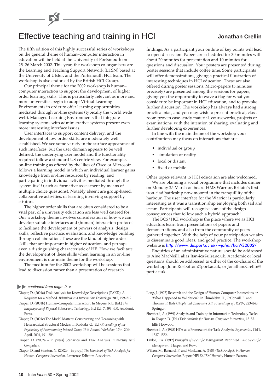# Effective teaching and training in HCI **Jonathan Crellin**

### The fifth edition of this highly successful series of workshops on the general theme of human–computer interaction in education will be held at the University of Portsmouth on 25–26 March 2002. This year, the workshop co-organisers are the Learning and Teaching Support Network (LTSN) based at the University of Ulster, and the Portsmouth HCI team. The workshop is also endorsed by the British HCI Group.

Our principal theme for the 2002 workshop is human– computer interaction to support the development of higher order learning skills. This is particularly relevant as more and more universities begin to adopt Virtual Learning Environments in order to offer learning opportunities mediated through on-line systems (typically the world wide web). Managed Learning Environments that integrate learning systems with administrative systems present even more interesting interface issues!

User interfaces to support content delivery, and the development of low order skills, are moderately well established. We see some variety in the surface appearance of such interfaces, but the user domain appears to be well defined, the underlying user model and the functionality required follow a standard US-centric view. For example, on-line training as offered by the likes of Cisco or Microsoft follows a learning model in which an individual learner gains knowledge from on-line resources by reading, and participating in individual activities mediated through the system itself (such as formative assessment by means of multiple choice questions). Notably absent are group-based, collaborative activities, or learning involving support by e-tutors.

The higher order skills that are often considered to be a vital part of a university education are less well catered for. Our workshop theme involves consideration of how we can develop suitable interfaces and (human) interaction protocols to facilitate the development of powers of analysis, design skills, reflective practice, evaluation, and knowledge building through collaboration. These are the kind of higher order skills that are important in higher education, and perhaps even a distinguishing characteristic of HE. How we facilitate the development of these skills when learning in an on-line environment is our main theme for the workshop.

The medium for the 2002 workshop will be sessions that lead to discussion rather than a presentation of research

### continued from page  $9 \triangleright$

- Diaper, D. (2001a) Task Analysis for Knowledge Descriptions (TAKD): A Requiem for a Method. *Behaviour and Information Technology*, **20**:3, 199–212.
- Diaper, D. (2001b) Human–Computer Interaction. In Meyers, R.B. (Ed.) *The Encyclopedia of Physical Science and Technology*, 3rd Ed., 7, 393–400. Academic Press.
- Diaper, D. (2001c) The Model Matters: Constructing and Reasoning with Heterarchical Structural Models. In Kadoda, G. (Ed.) *Proceedings of the Psychology of Programming Interest Group 13th Annual Workshop*, 17th–20th April, 2001, 191–206.
- Diaper, D. (2002a in press) Scenarios and Task Analysis. *Interacting with Computers.*
- Diaper, D. and Stanton, N. (2002b in prep.) *The Handbook of Task Analysis for Human–Computer Interaction*. Lawrence Erlbaum Associates.

findings. As a participant your outline of key points will lead to open discussion. Papers are scheduled for 30 minutes with about 20 minutes for presentation and 10 minutes for questions and discussion. Your posters are presented during poster sessions that include coffee time. Some participants will offer demonstrations, giving a practical illustration of interesting techniques in HCI education. These are also offered during poster sessions. Micro-papers (5 minutes precisely) are presented among the sessions for papers, giving you the opportunity to wave a flag for what you consider to be important in HCI education, and to provoke further discussion. The workshop has always had a strong practical bias, and you may wish to present practical, classroom proven case-study material, courseworks, projects or examinations, with the intention of sharing, evaluating and further developing experiences.

In line with the main theme of the workshop your contributions may focus on interactions that are:

- individual or group
- simulation or reality
- local or distant
- fixed or mobile

Other topics relevant to HCI education are also welcomed.

We are planning a social programme that includes dinner on Monday 25 March on board HMS Warrior, Britain's first iron-clad battleship now moored in the tranquillity of the harbour. The user interface for the Warrior is particularly interesting as it was a transition ship employing both sail and steam. Participants will recognise some of the design consequences that follow such a hybrid approach!

The BCS/HCI workshop is the place where we as HCI educators learn from presentations of papers and demonstrations, and also from the community of peers gathered together. With the help of your participation we aim to disseminate good ideas, and good practice. The workshop website is <http://www.dis.port.ac.uk/~johnr/hciWS2002/>

Enquiries of an administrative nature should be addressed to Aine MacNeill, alias ltsn-ics@ulst.ac.uk. Academic or local questions should be addressed to either of the co-chairs of the workshop: John.Rosbottom@port.ac.uk, or Jonathan.Crellin@ port.ac.uk.

- Long, J. (1997) Research and the Design of Human-Computer Interactions or 'What Happened to Validation?' In Thimbleby, H., O'Conaill, B. and Thomas, P. (Eds) *People and Computers XII: Proceedings of HCI'97*, 223–243. Springer.
- Shepherd, A. (1989) Analysis and Training in Information Technology Tasks. in Diaper, D. (Ed.) *Task Analysis for Human–Computer Interaction*, 15–55. Ellis Horwood.
- Shepherd, A. (1998) HTA as a Framework for Task Analysis. *Ergonomics*, **41**:11, 1537–1552.
- Taylor, F.W. (1912) *Principles of Scientific Management*. Reprinted 1967, *Scientific Management*. Harper and Row.
- Wilson, M., Barnard, P. and MacLean, A. (1986) *Task Analysis in Human– Computer Interaction*. Report HF122, IBM Hursely Human Factors.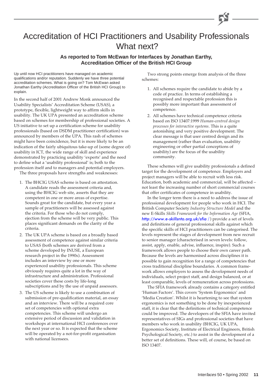# Accreditation of HCI Practitioners and Usability Professionals What next?

### **As reported to Tom McEwan for Interfaces by Jonathan Earthy, Accreditation Officer of the British HCI Group**

Up until now HCI practitioners have managed on academic qualifications and/or reputation. Suddenly we have three potential accreditation schemes. What is going on? Tom McEwan asked Jonathan Earthy (Accreditation Officer of the British HCI Group) to explain.

In the second half of 2001 Andrew Monk announced the Usability Specialists' Accreditation Scheme (USAS), a prototype, flexible, lightweight way to affirm skills in usability. The UK UPA presented an accreditation scheme based on schemes for membership of professional societies. A US initiative to set up a certification scheme for usability professionals (based on DSDM practitioner certification) was announced by members of the UPA. This rash of schemes might have been coincidence, but it is more likely to be an indication of the fairly ubiquitous take-up of (some degree of) usability in ICT, the wide range of skill and experience demonstrated by practicing usability 'experts' and the need to define what a 'usability professional' is; both to the profession itself and to managers and potential employers.

The three proposals have strengths and weaknesses:

- 1. The BHCIG USAS scheme is based on attestation. A candidate reads the assessment criteria and, using the BHCIG web site, asserts that they are competent in one or more areas of expertise. Sounds great for the candidate, but every year a sample of practitioners will be assessed against the criteria. For those who do not comply, ejection from the scheme will be very public. This places significant demands on the clarity of the criteria.
- 2. The UK UPA scheme is based on a broadly based assessment of competence against similar criteria to USAS (both schemes are derived from a scheme developed by INUSE, a European research project in the 1990s). Assessment includes an interview by one or more experienced usability professionals. This scheme obviously requires quite a lot in the way of infrastructure and administration. Professional societies cover these costs by life-long subscriptions and by the use of unpaid assessors.
- 3. The US scheme is likely to use a combination of submission of pre-qualification material, an essay and an interview. There will be a required core set of competencies with optional extra competencies. This scheme will undergo an extensive period of discussion and validation in workshops at international HCI conferences over the next year or so. It is expected that the scheme will be operated by a not-for-profit organisation with national licensees.

Two strong points emerge from analysis of the three schemes:

- 1. All schemes require the candidate to abide by a code of practice. In terms of establishing a recognised and respectable profession this is possibly more important than assessment of competence.
- 2. All schemes have technical competence criteria based on ISO 13407:1999 *Human-centred design processes for interactive systems*. This is a quite astonishing and very positive development. The clear message is that user centred design and its management (rather than evaluation, usability engineering or other partial conceptions of usability) are the focus of the usability community.

These schemes will give usability professionals a defined target for the development of competence. Employers and project managers will be able to recruit with less risk. Education, both academic and commercial, will be affected – not least the increasing number of short commercial courses that offer certificates of competence in usability.

In the longer term there is a need to address the issue of professional development for people who work in HCI. The British Computer Society *Industry Structure Model* and the new E-Skills *Skills Framework for the Information Age* (SFIA, [http://www.e-skillsnto.org.uk/sfia](http://www.e-skillsnto.org.uk/sfia/) /) provide a set of levels and definitions of general professional skills against which the specific skills of HCI practitioners can be categorised. The levels represent the stages of development from new recruit to senior manager (characterised in seven levels: follow, assist, apply, enable, advise, influence, inspire). Such a framework allows people to choose their own career path. Because the levels are harmonised across disciplines it is possible to gain recognition for a range of competencies that cross traditional discipline boundaries. A common framework allows employers to assess the development needs of individuals, select project staff, and design balanced, or at least comparable, levels of remuneration across professions.

The SFIA framework already contains a category entitled 'Human Factors'. This covers 'System Ergonomics' and 'Media Creation'. Whilst it is heartening to see that system ergonomics is not something to be done by inexperienced staff, it is clear that the definitions of technical competence could be improved. The developers of the SFIA have invited representatives of SIGs and professional societies that have members who work in usability (BHCIG, UK UPA, Ergonomics Society, Institute of Electrical Engineers, British Psychological Society, etc.) to assist in the development of a better set of definitions. These will, of course, be based on ISO 13407.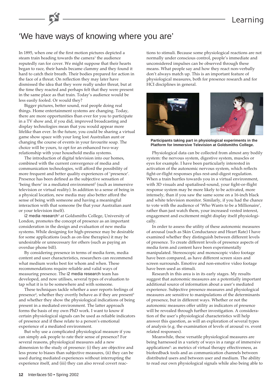# Learning

# 'We have ways of knowing where you are'

In 1895, when one of the first motion pictures depicted a steam train heading towards the camera<sup>1</sup> the audience reputedly ran for cover. We might suppose that their hearts began to race, their hands became clammy and they found it hard to catch their breath. Their bodies prepared for action in the face of a threat. On reflection they may later have dismissed the idea that they were really under threat, but at the time they reacted and perhaps felt that they were present in the same place as that train. Today's audience would be less easily fooled. Or would they?

Bigger pictures, better sound, real people doing real things. Home entertainment systems are changing. Today, there are more opportunities than ever for you to participate in a TV show and, if you did, improved broadcasting and display technologies mean that you would appear more lifelike than ever. In the future, you could be sharing a virtual game show space with your long lost Australian aunt or changing the course of events in your favourite soap. The choice will be yours, to opt for an enhanced two-way relationship with your household media systems.

The introduction of digital television into our homes, combined with the current convergence of media and communication technologies, will afford the possibility of more frequent and better quality experiences of 'presence'. Presence has been defined as the subjective sensation of 'being there' in a mediated environment $^2$  (such as immersive television or virtual reality). In addition to a sense of being in a physical location, new media may also better afford the sense of being with someone and having a meaningful interaction with that someone (be that your Australian aunt or your television itself).

i2 media research<sup>3</sup> at Goldsmiths College, University of London, promotes the concept of presence as an important consideration in the design and evaluation of new media systems. While designing for high-presence may be desirable for some applications (such as on-line therapies) it may be undesirable or unnecessary for others (such as paying an overdue phone bill).

By considering presence in terms of media form, media content and user characteristics, researchers can recommend what medium works best for whom and when. These recommendations require reliable and valid ways of measuring presence. The i2 media research team has developed, and now utilises, several types of evaluation to tap what it is to be somewhere and with someone.

These techniques tackle whether a user reports feelings of presence<sup>4</sup>, whether they overtly behave as if they are present<sup>5</sup> and whether they show the physiological indications of being present in a mediated environment. The latter approach forms the basis of my own PhD work. I want to know if certain physiological signals can be used as reliable indicators of presence and if these relate to a person's emotional experience of a mediated environment.

But why use a complicated physiological measure if you can simply ask people to rate their sense of presence? For several reasons, physiological measures add a new dimension to the study of presence: (i) they are objective and less prone to biases than subjective measures, (ii) they can be used during mediated experiences without interrupting the experience itself, and (iii) they can also reveal covert reactions to stimuli. Because some physiological reactions are not normally under conscious control, people's immediate and unconsidered impulses can be observed through these means. What people say and how they react non-verbally don't always match up. This is an important feature of physiological measures, both for presence research and for HCI disciplines in general.





**Participants taking part in physiological experiments in the Platform for Immersive Television at Goldsmiths College.**

Physiological data can be collected from almost any bodily system: the nervous system, digestive system, muscles or eyes for example. I have been particularly interested in activation of the autonomic nervous system, which reflects fight-or-flight responses plus rest-and-digest regulation. When a train hurtles towards you in a virtual environment, with 3D visuals and spatialised-sound, your fight-or-flight response system may be more likely to be activated, more intensely, than if you saw the same scene on a 16-inch black and white television monitor. Similarly, if you had the chance to vote with the audience of 'Who Wants to be a Millionaire', rather than just watch them, your increased vested interest, engagement and excitement might display itself physiologically.

In order to assess the utility of these autonomic measures of arousal (such as Skin Conductance and Heart Rate) I have examined whether they distinguish between different levels of presence. To create different levels of presence aspects of media form and content have been experimentally manipulated. Stereoscopic and monoscopic video footage have been compared, as have different screen sizes and screen surrounds. Emotive and non-emotive video footage have been used as stimuli.

Research in this area is in its early stages. My results suggest that autonomic measures are a potentially important additional source of information about a user's mediated experience. Subjective presence measures and physiological measures are sensitive to manipulations of the determinants of presence, but in different ways. Whether or not the autonomic measures offer utility as indicators of presence will be revealed through further investigation. A consideration of the user's physiological characteristics will help answer this question, as will an exploration of several types of analysis (e.g. the examination of levels of arousal vs. event related responses).

Meanwhile, these versatile physiological measures are being harnessed in a variety of ways in a range of immersive applications<sup>6</sup>: as metrics of virtual therapy effectiveness*,* as biofeedback tools and as communication channels between distributed users and between user and medium. The ability to read our own physiological signals while also being able to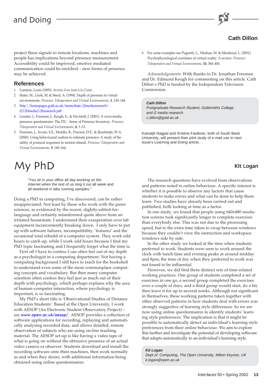

# **Cath Dillon**

project these signals to remote locations, machines and people has implications beyond presence measurement. Accessibility could be improved, emotive mediated communication could be enriched – new forms of presence may be achieved.

### **References**

- 1 Lumiere, Louis (1895): *Arrivée d'un train à la Ciotat*.
- 2 Slater, M., Usoh, M. & Steed, A. (1994). Depth of presence in virtual environments. *Presence: Teleoperators and Virtual Environments*, **3**, 130–144.
- 3 [http://homepages.gold.ac.uk/immediate/i2mediaresearch/](http://homepages.gold.ac.uk/immediate/i2mediaresearch/i2%20media%20research.pdf) i2%20media%20research.pdf
- 4 Lessiter, J., Freeman, J., Keogh, E., & Davidoff, J. (2001). A cross-media presence questionnaire: The ITC - Sense of Presence Inventory. *Presence: Teleoperators and Virtual Environments*, **8**, 1–13.
- 5 Freeman, J., Avons, S.E., Meddis, R., Pearson, D.E., & IJsselsteijn, W.A. (2000). Using behavioural realism to estimate presence: A study of the utility of postural responses to motion stimuli. *Presence: Teleoperators and Virtual Environments*, **9**, 149–164.

# $My \, PhD \hspace{2cm}$ Kit Logan

"You sit in your office all day working on the internet when the rest of us slog it out all week and all weekend in labs running samples."

Doing a PhD in computing, I've discovered, can be rather unappreciated. Not least by those who work with the purer sciences, as evidenced by the recent, slightly-edited-forlanguage and certainly misinformed quote above from an irritated housemate. I understand their exasperation over lab equipment inconveniently breaking down. I only have to put up with software failures, incompatibility, 'features' and the occasional total rebuild of a computer system. They work odd hours to catch up, while I work odd hours because I find my PhD topic fascinating and I frequently forget what the time is.

First off I have to confess I can often feel out of my depth as a psychologist in a computing department. Not having a computing background I still have to reach for the bookshelf to understand even some of the more commonplace computing concepts and vocabulary. But then many computer scientists often confess they feel just as much out of their depth with psychology, which perhaps explains why the area of human–computer interaction, where psychology is important, is so fascinating.

My PhD's short title is 'Observational Studies of Distance Education Students'. Based at the Open University, I work with AESOP (An Electronic Student Observatory Project) – see [www.open.ac.uk/aesop/](http://www.open.ac.uk/aesop/). AESOP provides a collection of software applications for recording, replaying and automatically analysing recorded data, and allows detailed, remote observation of subjects who are using on-line teaching material. The AESOP set-up is like having a video tape of what is going on without the obtrusive presence of an actual video camera or observer. Students download and install the recording software onto their machines, then work normally as and when they desire, with additional information being obtained using online questionnaires.

6 For some examples see Pugnetti, L., Meehan, M. & Mendozzi, L. (2001). Psychophysiological correlates of virtual reality: A review. *Presence: Teleoperators and Virtual Environments*, **10**, 384–400.

*Acknowledgements*: With thanks to Dr. Jonathan Freeman and Dr. Edmund Keogh for commenting on this article. Cath Dillon's PhD is funded by the Independent Television Commission.

### **Cath Dillon**

Postgraduate Research Student, Goldsmiths College and i2 media research c.dillon@gold.ac.uk

Kamaljit Nagpal and Xristine Faulkner, both of South Bank University, will present their pilot study of e-mail use in next issue's Learning and Doing article.

The research questions have evolved from observations and patterns noted in online behaviour. A specific interest is whether it is possible to observe any factors that cause students to make errors and what can be done to help them learn. Two studies have already been carried out and published, both looking at time as a factor.

In one study, we found that people using 640x480 resolution screens took significantly longer to complete exercises than everybody else. This was not due to the processing speed, but to the extra time taken to swap between windows because they couldn't view the instruction and workspace windows side by side.

In the other study we looked at the time when students preferred to work. Students were seen to work around the clock with lunch time and evening peaks at around midday and 8pm; the time of day when they preferred to work was not found to be influential.

However, we did find three distinct sets of time-related working practices. One group of students completed a set of exercises in one go, a second group completed the exercises over a couple of days, and a third group would start, do a bit, then leave it for up to several weeks. Although not significant in themselves, these working patterns taken together with other observed patterns in how students deal with errors was strongly suggestive of learning style differences. So we are now using online questionnaires to identify students' learning style preferences. The implication is that it might be possible to automatically detect an individual's learning style preferences from their online behaviour. We aim to explore this further and investigate the potential of developing software that adapts automatically to an individual's learning style.

### **Kit Logan**

Dept of Computing, The Open University, Milton Keynes, UK k.logan@open.ac.uk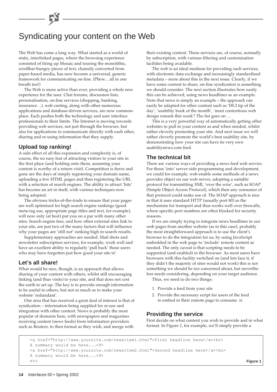# Syndicating your content on the Web

The Web has come a long way. What started as a world of static, interlinked pages, where the browsing experience consisted of firing up Mosaic and touring the monolithic, scrollbar-hungry pieces of text, clumsily converted from paper-based media, has now become a universal, generic framework for communicating on-line. (Phew... all in one breath too!)

The Web is more active than ever, providing a whole new experience for the user. Chat forums, discussion lists, personalisation, on-line services (shopping, banking, insurance…), web casting, along with other numerous applications and database-driven services, are now commonplace. Each pushes both the technology and user interface professionals to their limits. The Internet is moving towards providing web services, not just through the browser, but also for applications to communicate directly with each other, sharing and re-using information that they supply.

### **Upload top ranking!**

A side effect of all this expansion and complexity is, of course, the no easy feat of attracting visitors to your site in the first place (and holding onto them, assuming your content is worthy of a return visit). Competition is fierce and gone are the days of simply registering your domain name, uploading a few HTML pages and then registering the URL with a selection of search engines. The ability to attract 'hits' has become an art in itself, with various techniques now being adopted.

The obvious tricks-of-the-trade to ensure that your pages are well optimised for high search engine rankings (good meta-tag use, appropriate page titles and text, for example), will now only (at best) put you on a par with many other sites. Search engine fees, and how often external sites link to your site, are just two of the many factors that will influence why your pages are 'still not' ranking high in search results.

Supplementary approaches are needed. Mail shots and newsletter subscription services, for example, work well and have an excellent ability to regularly 'pull back' those users who may have forgotten just how good your site is!

## **Let's all share!**

What would be nice, though, is an approach that allows sharing of your content with others, whilst still encouraging linking (and thus visits) to your site, and that does not cost the earth to set up. The key is to provide enough information to be useful to others, but not so much as to make your website 'redundant'.

One area that has received a great deal of interest is that of syndication – information being supplied for re-use and integration with other content. News is probably the most popular of domains here, with newspapers and magazines receiving content (news feeds) from information providers such as Reuters, to then format as they wish, and merge with

their existing content. These services are, of course, normally by subscription, with various filtering and customisation facilities being available.

The web is an ideal medium for providing such services, with electronic data exchange and increasingly standardised metadata – more about this in the next issue. Clearly, if we have some content to share, on-line syndication is something we should consider. The next section illustrates how easily this can be achieved, using news headlines as an example. Note that news is simply an example – the approach can easily be adapted for other content such as 'HCI tip of the day', 'usability book of the month', 'most contentious web design remark this week'! The list goes on …

This is a very powerful way of automatically getting other websites to pull in your content as and when needed, whilst rather cleverly promoting your site. And next issue we will rather cleverly promote the world's best usability site, by demonstrating how your site can have its very own usabilitynews.com feed.

## **The technical bit**

There are various ways of providing a news feed web service. For those 'into' server-side programming and development, we could for example, web-enable some methods of a news provider object on our web server, adopting a suitable protocol for transmitting XML 'over the wire', such as SOAP (Simple Object Access Protocol), which then any consumer of that protocol could make use of. The SOAP approach is nice in that it uses standard HTTP (usually port 80) as the mechanism for transport and thus works well over firewalls, where specific port numbers are often blocked for security reasons.

If we are simply trying to integrate news headlines in our web pages from another website (as in this case), probably the most straightforward approach is to use the client's browser to do the integration for us, by using JavaScript embedded in the web page to 'include' remote content as needed. The only caveat is that scripting needs to be supported (and enabled) in the browser. As most users have browsers with this facility switched on (and lets face it, if they didn't the majority of sites would not work) this is not something we should be too concerned about, but nevertheless needs considering, depending on your target audience. Thus, we need to do two things:

- 1. Provide a feed from your site
- 2. Provide the necessary script for users of the feed to embed in their remote page to consume it.

### **Providing the service**

First decide on what content you wish to provide and in what format. In Figure 1, for example, we'll simply provide a

<a href="http://www.yoursite.com/newsitem1.html">First headline here</a><br> A summary would be here...<P> <a href="http://www.yoursite.com/newsitem2.html">Second headline here</a><br> A summary would be here...<P> etc **Figure 1 Figure 1 Figure 1 Figure 1 Figure 1 Figure 1**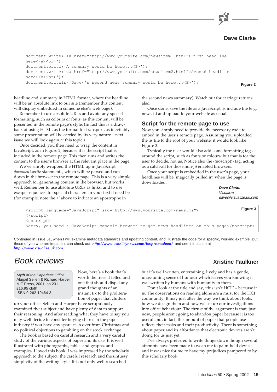

```
document.write('<a href="http://www.yoursite.com/newsitem1.html">First headline
here</a><br>');
document.write('A summary would be here...<P>');
document.write('<a href="http://www.yoursite.com/newsitem2.html">Second headline
here</a><br>');
document.writeln('Dave\'s second news summary would be here...<P>'); Figure 2
```
headline and summary in HTML format, where the headline will be an absolute link to our site (remember this content will display embedded in someone else's web page).

Remember to use absolute URLs and avoid any special formatting, such as colours or fonts, as this content will be presented in the remote page's style. (In fact this is a drawback of using HTML as the format for transport, as inevitably some presentation will be carried by its very nature – next issue we will look again at this topic.)

Once decided, you then need to wrap the content in JavaScript, as in Figure 2, because it is the script that is included in the remote page. This then runs and writes the content to the user's browser at the relevant place in the page.

We've simply wrapped the HTML up in JavaScript *document.write* statements, which will be parsed and run down in the browser in the remote page. This is a very simple approach for generating content in the browser, but works well. Remember to use absolute URLs as links, and to use escape sequences for special characters in your text if need be (for example, note the \' above to indicate an apostrophe in

the second news summary). Watch out for carriage returns also.

Once done, save the file as a JavaScript .js include file (e.g. news.js) and upload to your website as usual.

### **Script for the remote page to use**

Now you simply need to provide the necessary code to embed in the user's remote page. Assuming you uploaded the .js file to the root of your website, it would look like Figure 3.

Typically the user would also add some formatting tags around the script, such as fonts or colours, but that is for the user to decide, not us. Notice also the <noscript> tag, acting as a catch-all for those non-JS enabled browsers.

Once your script is embedded in the user's page, your headlines will be 'magically pulled in' when the page is downloaded.

> **Dave Clarke** Visualize dave@visualize.uk.com

```
<script language="JavaScript" src="http://www.yoursite.com/news.js">
</script>
<noscript>
Sorry, you need a JavaScript capable browser to get news headlines on this page</noscript>
                                                                                       Figure 3
```
Continued in Issue 51, when I will examine metadata standards and updating content, and illustrate the code for a specific, working example. But those of you who are impatient can check out: <http://www.usabilitynews.com/help/newsfeed/> and see it in action at <http://www.visualize.uk.com>.

# Book reviews

Myth of the Paperless Office Abigail Sellen & Richard Harper MIT Press, 2001; pp 231 £16.95 cloth ISBN 0-262-19464-3

Now, here's a book that's worth the trees it felled and one that should dispel any grand thoughts of an instant fix to the proliferation of paper that clutters

up your office. Sellen and Harper have scrupulously examined their subject and have plenty of data to support their reasoning. And after reading what they have to say you may well decide to consider buying shares in the paper industry if you have any spare cash over from Christmas and no political objections to gambling on the stock exchange.

The book is based on careful research and a very careful study of the various aspects of paper and its use. It is well illustrated with photographs, tables and graphs, and examples. I loved this book. I was impressed by the scholarly approach to the subject, the careful research and the unfussy simplicity of the writing style. It is not only well researched

**Xristine Faulkner**

but it's well written, entertaining, lively and has a gentle, unassuming sense of humour which leaves you knowing it was written by humans with humanity in them.

Don't look at the title and say, 'this isn't HCI!' – because it is. The observations on reading alone are a must for the HCI community. It may just alter the way we think about tools, how we design them and how we set up our investigations into office behaviour. The thrust of the argument is that, just now, people aren't going to abandon paper because it is too useful and, in fact, the amount of paper that people use reflects their tasks and their productivity. There is something about paper and its affordance that electronic devices aren't doing for us just yet.

I've always preferred to write things down though several attempts have been made to wean me to palm-held devices and it was nice for me to have my prejudices pampered to by this scholarly book.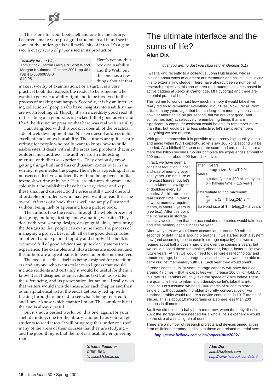This is one for your bookshelf and one for the library. Lecturers: make your post-grad students read it and see if some of the under-grads will tackle bits of it too. It's a gem… worth every scrap of paper used in its production.

Usability for the Web

Tom Brinck, Darren Gergle & Scott Wood Morgan Kaufmann, October 2001; pp 481 ISBN 1-55860658-0 \$49.95

Here's yet another book on usability and the Web, but this one has a few things about it that

make it worthy of examination. For a start, it is a very practical book that expects the reader to be someone who wants to get web usability right and to be involved in the process of making that happen. Secondly, it is by an interesting collection of people who have insights into usability that are worth looking at. Thirdly, it's an incredibly good read. It rattles along at a good rate, is packed full of good advice and I had the distinct impression that here was real web usability.

I am delighted with this book. It does all of the practical side of web development that Nielsen doesn't address in his excellent book on web usability. The authors are quite clearly writing for people who really want to know how to build usable sites. It deals with all the areas and problems that sitebuilders must address. The authors are an interesting mixture, with diverse experiences. They obviously enjoy getting things built and this enthusiasm comes over in the writing; it permeates the pages. The style is appealing. It is no nonsense, effective and friendly without being over-familiar – textbook writing at its best. Here are pictures, diagrams and colour but the publishers have been very clever and kept these small and discreet. So the price is still a good one and affordable for students, who may well want to read this. The overall effect is of a book that is well and amply illustrated without being lush or appearing like a picture book.

The authors take the reader through the whole process of designing, building, testing and evaluating websites. They deal with representing design, design guidelines, presenting the designs so that people can examine them, the process of managing a project. Best of all, all of the good design rules are offered and explained rapidly and simply. The book is crammed full of good advice that quite clearly stems from experience. The examples and illustrations are excellent and the authors are at great pains to leave no problems unsolved.

The book describes itself as being designed for practitioners and anyone who wants to learn so I guess that would include students and certainly it would be useful for them. I know it isn't designed as an academic text but, as so often, the referencing, and its presentation, irritate me. I really wish that writers would include these after each chapter and then as an alphabetical list at the end. I get really fed up with flicking through to the end to see what's being referred to and I never know which chapter I'm on. The complete list at the end is always useful.

But it's not a perfect world. So, this one, again, for your shelf definitely, one for the library, and perhaps you can get students to read it too. It will bring together under one roof many of the areas of their courses that they are studying – and the good thing is that the roof is a usability engineering roof.

**Xristine Faulkner**

CISE, SBU Xristine@sbu.ac.uk

# The ultimate interface and the sums of life? **Alan Dix**

#### 'dust you are, to dust you shall return' Genesis 3:19

I was talking recently to a colleague, John Hutchinson, who is thinking about ways to augment our memories and assist us in linking this to external knowledge. There have already been a number of research projects in this sort of area (e.g. automatic diaries based in active badges at Xerox in Cambridge, MIT cyborgs) and there are potential practical benefits.

This led me to wonder just how much memory it would take if we really did try to remember everything in our lives. Now I recall, from articles many years ago, that human long-term memory is only laid down at about half a bit per second, but we are very good (and sometimes bad) at selectively remembering things that are significant. A computer assistant would be able to remember more than this, but would be far less selective; let's say it remembers everything we see or hear.

With good compression it is possible to get pretty high quality video and audio within ISDN capacity, so let's say 100 kbits/second will be needed. At a biblical life span of three score and ten, our lives are a mere two billion seconds. So our complete life experiences amount to 200 terabits, or about 400 hard disk drives.

In fact, we have seen a constant reduction in cost and size of memory over past years. I'm not sure of the exact figures, but let's take a Moore's law figure of doubling every 18 months. At this rate, the real crunch time, in terms of worst memory requirements, is about 2 years in (see box). After this point the increases in storage

| after T years:                                                     |
|--------------------------------------------------------------------|
| storage size, $S = aT 2^{-T/b}$                                    |
| where                                                              |
| $a = \frac{data}{year} = 300$ billion bytes                        |
| $b =$ halving time = 1.5 years                                     |
|                                                                    |
| differentiate to find maximum:                                     |
| $\frac{dS}{dT}$ = a (1 – T log <sub>e</sub> 2/b) 2 <sup>-T/b</sup> |
|                                                                    |
| So worst size at T = $b/log_e 2 \approx 2$ years                   |
|                                                                    |

capacity would mean that the accumulated memories would take less and less memory each successive year.

After two years we would have accumulated around 60 million seconds of data, that is around 6 terabits. If we started such a system now (and assuming the increase in storage capacity) this would require about half a dozen hard disks over the coming 2 years, but we could discard these for smaller, cheaper, larger, faster disks over future years. At first we would need to use wireless technology and remote storage, but, as storage devices shrink, we would be able to carry our lifetime memory with us. Each year they would shrink.

If trends continue, in 70 years storage capacity will have doubled around 47 times – that is capacities will increase 100 trillion-fold. At this rate 200 terabits will only take the space of 2 bits today! There are quantum limits to information density, so let's take this into account. Let's assume we need 1000 atoms of silicon to store a single bit without quantum problems (pretty conservative). Two hundred terabits would require a device containing 2x1017 atoms of silicon. This is about 10 micrograms or a sphere less than 200 microns in diameter.

So, if we did this for a baby born tomorrow, when the baby dies in 2072 the storage device needed for a whole life's experience would be the size of a small grain of dust.

There are a number of research projects and devices aimed at this form of lifelong memory; for links to these and related material see:

<http://www.hcibook.com/alan/papers/dust2002/>

**Alan Dix** alan@hcibook.com <http://www.hcibook.com/alan/>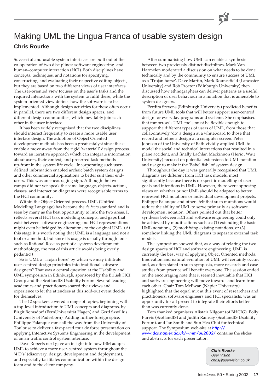# Making UML the Lingua Franca of usable system design **Chris Rourke**

Successful and usable system interfaces are built out of the co-operation of two disciplines: software engineering and human–computer interaction (HCI). Both disciplines have concepts, techniques, and notations for specifying, constructing, and evaluating their respective editing objects, but they are based on two different views of user interfaces. The user-oriented view focuses on the user's tasks and the required interactions with the system to fulfil these, while the system-oriented view defines how the software is to be implemented. Although design activities for these often occur in parallel, there are two different design spaces, and different design communities, which inevitably join each other in the user interface.

It has been widely recognised that the two disciplines should interact frequently to create a more usable user interface design. The adoption of Object Oriented development methods has been a great catalyst since these enable a move away from the rigid 'waterfall' design process, toward an iterative approach which can integrate information about users, their context, and preferred task methods up-front in the system life cycle. Incorporating such userdefined information enabled archaic batch system designs and other commercial applications to better suit their endusers. This was an encouraging sign. Although the two camps did not yet speak the same language, objects, actions, classes, and interaction diagrams were recognisable terms to the HCI community.

Within the Object Oriented process, UML (Unified Modelling Language) has become the *de facto* standard and is seen by many as the best opportunity to link the two areas. It reflects several HCI task modelling concepts, and gaps that exist between software engineering and HCI representations might even be bridged by alterations to the original UML. (At this stage it is worth noting that UML is a language and not a tool or a method, but since its usage is usually through tools such as Rational Rose as part of a systems development methodology, the rest of this article avoids being overly pedantic!)

So is UML a 'Trojan horse' by which we may infiltrate user-centred design principles into traditional software designers? That was a central question at the Usability and UML symposium in Edinburgh, sponsored by the British HCI Group and the ScotlandIS Usability Forum. Several leading academics and practitioners shared their views and experience to let the attendees at this sold-out event decide for themselves.

The 12 speakers covered a range of topics, beginning with a top-level introduction to UML concepts and diagrams, by Birgit Bomsdorf (FernUniversität Hagen) and Gerd Szwillus (University of Paderborn). Adding further foreign spice, Phillippe Palanque came all the way from the University of Toulouse to deliver a fast-paced tour de force presentation on applying Interactive Systems Engineering in the development of an air traffic control system interface.

Dave Roberts next gave an insight into how IBM adapts UML to achieve a more user-centred system throughout the '4 D's' (discovery, design, development and deployment), and especially facilitates communication within the design team and to the client company.

After summarising how UML can enable a synthesis between two previously distinct disciplines, Mark Van Harmelen moderated a discussion on what needs to be done technically and by the community to ensure success of UML as a 'Trojan horse'. Dave Martin, Mark Rouncefield (Lancaster University) and Rob Proctor (Edinburgh University) then discussed how ethnographers can deliver patterns as a useful description of user behaviour in a notation that is amenable to system designers.

Perdita Stevens (Edinburgh University) predicted benefits from future UML tools that will better support user-centred design for everyday programs and systems. She emphasised that tomorrow's UML tools must be flexible enough to support the different types of users of UML, from those that collaboratively 'do' a design at a whiteboard to those that record and refine a design at a computer screen. Peter Johnson of the University of Bath vividly applied UML to model the social and technical interactions that resulted in a plane accident, and finally Lachlan Mackinnon (Heriot Watt University) focused on potential extensions to UML notation and usage to make it the 'Babel fish' of system design.

Throughout the day it was generally recognised that UML diagrams are different from HCI task models, most significantly because there is no specific modelling of user goals and intentions in UML. However, there were opposing views on whether or not UML should be adapted to better represent HCI notations or individual development projects. Philippe Palanque and others felt that such mutations would reduce the ability of UML to serve primarily as software development notation. Others pointed out that better synthesis between HCI and software engineering could only be achieved by modifications such as: (1) extending the basic UML notations, (2) modifying existing notations, or (3) somehow linking the UML diagrams to separate external task models.

The symposium showed that, as a way of relating the two design spaces of HCI and software engineering, UML is currently the best way of applying Object Oriented methods. Innovation and natural evolution of UML will certainly occur, and, as often stated in such symposia, more research and case studies from practice will benefit everyone. The session ended on the encouraging note that it seemed inevitable that HCI and software engineering will move towards and learn from each other. Chair Tom McEwan (Napier University) highlighted that the equal mix at this event of researchers and practitioners, software engineers and HCI specialists, was an opportunity for all present to integrate their efforts better than was currently done.

Tom thanked organisers Alistair Kilgour (of BHCIG), Polly Purvis (ScotlandIS) and Judith Ramsay (ScotlandIS Usability Forum), and Ian Smith and Sun Hea Choi for technical support. The Symposium web-site at http://

[www.dcs.napier.ac.uk/~mm/uu2002/](http://www.dcs.napier.ac.uk/~mm/uu2002/) contains the slides and abstracts for each presentation.

> **Chris Rourke** User Vision chris@uservision.co.uk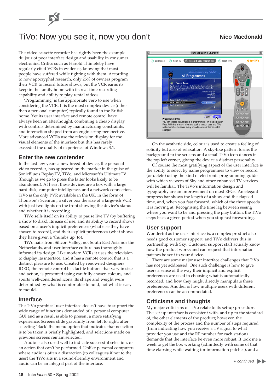# TiVo: Now you see it, now you don't **Nico Macdonald**

### The video cassette recorder has rightly been the example du jour of poor interface design and usability in consumer electronics. Critics such as Harold Thimbleby have regularly cited VCRs in evidence, knowing that most people have suffered while fighting with them. According to now apocryphal research, only 25% of owners program their VCR to record future shows, but the VCR earns its keep in the family home with its real-time recording capability and ability to play rental videos.

'Programming' is the appropriate verb to use when considering the VCR. It is the most complex device (other than a personal computer) typically found in the British home. Yet its user interface and remote control have always been an afterthought, combining a cheap display with controls determined by manufacturing constraints, and interaction shaped from an engineering perspective. More advanced VCRs use the television display for the visual elements of the interface but this has rarely exceeded the quality of experience of Windows 3.1.

### **Enter the new contender**

In the last few years a new breed of device, the personal video recorder, has appeared on the market in the guise of SonicBlue's ReplayTV, TiVo, and Microsoft's UltimateTV (though as we go to press the latter looks likely to be abandoned). At heart these devices are a box with a large hard disk, computer intelligence, and a network connection. TiVo is the only PVR available in the UK, in the form of Thomson's Scenium, a silver box the size of a large-ish VCR with just two lights on the front showing the device's status and whether it is recording.

TiVo sells itself on its ability to pause live TV (by buffering a show to disk), its ease of use, and its ability to record shows based on a user's implicit preferences (what else they have chosen to record), and their explicit preferences (what shows they have given a 'thumbs up' to).

TiVo hails from Silicon Valley, not South East Asia nor the Netherlands, and user interface culture has thoroughly informed its design. Like modern VCRs it uses the television to display its interface, and it has a remote control that is a distinct pleasure to use. Created by renowned designers IDEO, the remote control has tactile buttons that vary in size and action, is presented using carefully chosen colours, and sports well-considered icons. Its shape and weight were determined by what is comfortable to hold, not what is easy to mould.

### **Interface**

The TiVo graphical user interface doesn't have to support the wide range of functions demanded of a personal computer GUI and as a result is able to present a more satisfying experience. Screens slide gracefully from left to right; after selecting 'Back' the menu option that indicates that no action is to be taken is briefly highlighted, and selections made on previous screens remain selected.

Audio is also used well to indicate successful selection, or an action that can't be performed. Unlike personal computers where audio is often a distraction (to colleagues if not to the user) the TiVo sits in a sound-friendly environment and audio can be an integral part of the interface.



On the aesthetic side, colour is used to create a feeling of solidity but also of relaxation. A sky-like pattern forms the background to the screens and a small TiVo icon dances in the top left corner, giving the device a distinct personality.

Of course the most gratifying aspect of the user interface is the ability to select by name programmes to view or record (or delete) using the kind of electronic programming guide with which viewers of Sky and other enhanced TV services will be familiar. The TiVo's information design and typography are an improvement on most EPGs. An elegant progress bar shows the length of a show and the elapsed time, and, when you fast forward, which of the three speeds it is moving at. Recognising the time lag between seeing where you want to be and pressing the play button, the TiVo steps back a given period when you stop fast forwarding.

### **User support**

Wonderful as the user interface is, a complex product also needs good customer support, and TiVo delivers this in partnership with Sky. Customer support staff actually know how the product works and can request that information patches be sent to your device.

There are some major user interface challenges that TiVo has not yet addressed. One such challenge is how to give users a sense of the way their implicit and explicit preferences are used in choosing what is automatically recorded, and how they might directly manipulate these preferences. Another is how multiple users with different preferences can be accommodated.

### **Criticisms and thoughts**

My major criticisms of TiVo relate to its set-up procedure. The set-up interface is consistent with, and up to the standard of, the other elements of the product; however, the complexity of the process and the number of steps required (from indicating how you receive a TV signal to what provider you use and the RF number for each station) demands that the interface be even more robust. It took me a week to get the box working (admittedly with some of that time elapsing while waiting for information patches), and a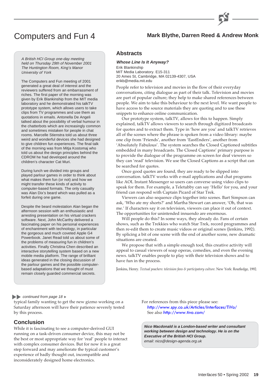# Computers and Fun 4 **Mark Blythe, Darren Reed & Andrew Monk**

#### A British HCI Group one-day meeting held on Thursday 29th of November 2001 The Huntington Room, King's Manor University of York

The Computers and Fun meeting of 2001 generated a great deal of interest and the reviewers suffered from an embarrassment of riches. The first paper of the morning was given by Erik Blankinship from the MIT media laboratory and he demonstrated his talkTV prototype system, which allows users to take clips from TV programmes and use them as quotations in emails. Antonella De Angeli talked about the possibility of verbal humour in the chatterbots which are increasingly common and sometimes mistaken for people in chat rooms. Marcelle Stienstra told us about three weird and wonderful devices she had designed to give children fun experiences. The final talk of the morning was from Mitja Kostomaj who told us about the design principles behind the CDROM he had developed around the children's character Cat Muri.

During lunch we divided into groups and played parlour games in order to think about what makes them fun (or not) and how we might transfer these kinds of activity to computer-based formats. The only casualty was Alan Dix's beard which was pulled as a forfeit during one game.

Despite the beard molestation Alan began the afternoon session with an enthusiastic and arresting presentation on his virtual crackers software. Next, John McCarthy delivered a fascinating paper on his personal experiences of enchantment with technology, in particular the gorgeous and much coveted Apple G4 Powerbook. Janet Read told us about some of the problems of measuring fun in children's activities. Finally Christina Chen described an interactive storytelling system based on a new mobile media platform. The range of brilliant ideas generated in the closing discussion of the parlour games and the possible computerbased adaptations that we thought of must remain closely guarded commercial secrets.

### **Abstracts**

**Whose Line Is It Anyway?** Erik Blankinship MIT Media Laboratory. E15-311 20 Ames St, Cambridge, MA 02139-4307, USA erikb@media.mit.edu

People refer to television and movies in the flow of their everyday conversations, citing dialogue as part of their talk. Television and movies are part of popular culture; they help to make shared references between people. We aim to take this behaviour to the next level. We want people to have access to the source materials they are quoting and to use these snippets to enhance online communication.

Our prototype system, talkTV, allows for this to happen. Simply explained, talkTV allows viewers to search through digitized broadcasts for quotes and to extract them. Type in 'how are you' and talkTV retrieves all of the scenes where the phrase is spoken from a video library: maybe one clip from 'Friends', another from 'EastEnders', another from 'Absolutely Fabulous'. The system searches the Closed Captioned subtitles embedded in many broadcasts. The Closed Captions' primary purpose is to provide the dialogue of the programme on screen for deaf viewers so they can 'read' television. We use the Closed Captions as a script that can be searched for quotes.

Once good quotes are found, they are ready to be slipped into conversation. talkTV works with e-mail applications and chat programs like AOL Instant Messenger so users can converse using video clips to speak for them. For example, a Teletubby can say 'Hello' for you, and your friend can respond with Captain Picard of Star Trek.

Viewers can also sequence clips together into scenes. Bart Simpson can ask, 'Who ate my shorts?' and Martha Stewart can answer, 'Oh, that was me.' If characters say it on television, viewers can place it out of context. The opportunities for unintended innuendo are enormous.

Will people do this? In some ways, they already do. Fans of certain shows, such as the Trekkies who watch Star Trek, record programmes and then re-edit them to create music videos or original scenes (Jenkins, 1992). By splicing a bit of one scene with the end of another scene, new dramatic situations are created.

We propose that with a simple enough tool, this creative activity will appeal to casual viewers of soap operas, comedies, and even the evening news. talkTV enables people to play with their television shows and to have fun in the process.

Jenkins, Henry. *Textual poachers: television fans & participatory culture*. New York: Routledge, 1992.

### continued from page 18  $\blacktriangleright$

typical family wanting to get the new gizmo working on a Saturday afternoon will have their patience severely tested by this process.

### **Conclusion**

While it is fascinating to see a computer-derived GUI running on a task-driven consumer device, this may not be the best or most appropriate way for 'real' people to interact with complex consumer devices. But for now it is a great step forward and may ameliorate the typical customer's experience of badly thought out, incompatible and inconsiderately designed home electronics.

For references from this piece please see: <http://www.spy.co.uk/Articles/Interfaces/TiVo/> See also <http://www.tivo.com/>

**Nico Macdonald is a London-based writer and consultant working between design and technology. He is on the Executive of the British HCI Group.** email: nico@design-agenda.org.uk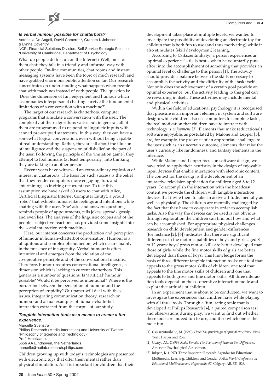### **Is verbal humour possible for chatterbots?**

Antonella De Angeli, David Cameron\*, Graham I. Johnson & Lynne Coventry

NCR, Financial Solutions Division, Self Service Strategic Solution \*University of Cambridge, Department of Psychology

What do people do for fun on the Internet? Well, most of them chat: they talk in a friendly and informal way with other people. On-line communities, chat rooms and instant messaging systems have been the topic of much research and have grabbed enormous public attention so far. Our research concentrates on understanding what happens when people chat with machines instead of with people. The question is: 'Does the dimension of fun, enjoyment and humour which accompanies interpersonal chatting survive the fundamental limitations of a conversation with a machine?'

The target of our research is chatterbots, computer programs that simulate a conversation with the user. The complexity of their algorithms varies but, in general, all of them are programmed to respond to linguistic inputs with canned pre-scripted statements. In this way, they can have a somewhat logical conversation, even without being capable of real understanding. Rather, they are all about the illusion of intelligence and the suspension of disbelief on the part of the user. Following the principle of the 'imitation game', they attempt to fool humans (at least temporarily) into thinking they are talking to another person.

Recent years have witnessed an extraordinary explosion of interest in chatterbots. The basis for such success is the belief that they render computers more engaging, fun, and entertaining, so inviting recurrent use. To test this assumption we have asked 60 users to chat with Alice, (Artificial Linguistic Internet Computer Entity), a proud 'robot' that exhibits human-like feelings and intentions while chatting with the user. 'She' asks and answers questions, reminds people of appointments, tells jokes, spreads gossip and even lies. The analysis of the linguistic corpus and of the people's subjective reactions has provided some insights into the social interaction with machines.

Here, our interest concerns the production and perception of humour in human–chatterbot conversation. Humour is a ubiquitous and complex phenomenon, which occurs mainly in the presence of incongruity. Verbal humour is often intentional and emerges from the violation of the co-operative principle and of the conversational maxims. Therefore, humour requires conversational intelligence, a dimension which is lacking in current chatterbots. This generates a number of questions. Is 'artificial' humour possible? Would it be perceived as intentional? Where is the borderline between the perception of humour and the perception of stupidity? Our paper will deal with these issues, integrating communication theory, research on humour and actual examples of human–chatterbot interaction extracted from the corpus of our study.

### **Tangible interaction tools as a means to create a fun experience.**

#### Marcelle Stienstra

Philips Research (Media Interaction) and University of Twente (Philosophy of Science and Technology) Prof. Holstlaan 4 5656 AA Eindhoven, the Netherlands marcelle@natlab.research.philips.com

Children growing up with today's technologies are presented with electronic toys that offer them mental rather than physical stimulation. As it is important for children that their

development takes place at multiple levels, we wanted to investigate the possibility of developing an electronic toy for children that is both fun to use (and thus motivating) while it also stimulates (skill development) learning.

According to Csikszentmihalyi, a person experiences an 'optimal experience' – feels best – when he voluntarily puts effort into the accomplishment of something that provides an optimal level of challenge to this person [1]. The activity should provide a balance between the skills necessary to accomplish the activity and the difficulty of the task itself. Not only does the achievement of a certain goal provide an optimal experience, but the activity leading to this goal can be rewarding in itself. These activities may include mental and physical activities.

Within the field of educational psychology it is recognised that pleasure is an important element in system and software design: while children also use computers to complete tasks, the real motivation that children have to interact with technology is *enjoyment* [3]. Elements that make (educational) software enjoyable, as postulated by Malone and Lepper [5], are, for example, the presence of an appropriate challenge to the user such as an uncertain outcome, elements that raise the user's curiosity like randomness, and fantasy elements in the interface.

While Malone and Lepper focus on software design, we have tried to apply their heuristics in the design of enjoyable input devices that enable interaction with electronic content. The context for the design is the development of an interactive television application for children aged 8 to 12 years. To accomplish the interaction with the broadcast content we provide the children with tangible interaction devices that invite them to take an active attitude, mentally as well as physically. The children are mentally challenged by the fact that they have to co-operate in order to accomplish tasks. Also the way the devices can be used is not obvious: through exploration the children can find out how and what can be accomplished. For appropriate physical challenges research on child development and gender differences (for instance [2], [6]) indicates that there are significant differences in the motor capabilities of boys and girls aged 8 to 12 years: boys' gross motor skills are better developed than those of girls, while the fine motor skills of girls are better developed than those of boys. This knowledge forms the basis of three different tangible interaction tools: one tool that appeals to the gross motor skills of children, one tool that appeals to the fine motor skills of children and one that appeals to both gross and fine motor skills. All three interaction tools depend on the co-operative interaction mode and explorative attitude of children.

In an experiment that is about to be conducted, we want to investigate the experiences that children have while playing with all three tools. Through a 'fun' rating scale that is developed at Philips Research [4], a paired comparison test and observations during play, we want to find out whether these tools are indeed fun to use, and if so which one is the most fun.

- [1] Csikszentmihalyi, M. (1990). *Flow: The psychology of optimal experience*. New York: Harper and Row.
- [2] Geary, D.C. (1998). *Male, Female: The Evolution of Human Sex Differences*. American Psychological Association.
- [3] Inkpen, K. (1997). Three Important Research Agendas for Educational Multimedia: Learning, Children, and Gender. *AACE World Conference on Educational Multimedia and Hypermedia 97*, Calgary, AB, 521–526.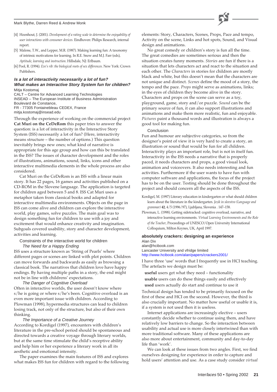#### Mark Blythe, Darren Reed & Andrew Monk



- [4] Hoonhout, J. (2001). *Development of a rating scale to determine the enjoyability of user interactions with consumer devices*. Eindhoven: Philips Research, internal report.
- [5] Malone, T.W., and Lepper, M.R. (1987). Making learning fun: A taxonomy of intrinsic motivations for learning. In R.E. Snow and M.J. Farr (eds), *Aptitude, learning and instruction*. Hillsdale, NJ: Erlbaum.
- [6] Pool, R. (1994). *Eve's rib: the biological roots of sex differences*. New York: Crown Publishers.

### **Is a lot of interactivity necessarily a lot of fun? What makes an Interactive Story System fun for children?** Mitja Kostomaj

CALT – Centre for Advanced Learning Technologies INSEAD – The European Institute of Business Administration Boulevard de Constance, FR - 77305 Fontainebleau CEDEX, France mitja.kostomaj@insead.edu

Through the experience of working on the commercial project **Cat Muri on the CeDeRom** this paper tries to answer the question: is a lot of interactivity in the Interactive Story System (ISS) necessarily a lot of fun? (Here, interactivity means structure – the number of options.) This question inevitably brings new ones; what kind of narrative is appropriate for this age group and how can this be translated in the ISS? The issues of character development and the roles of illustrations, animations, sound, links, icons and other interactive multimedia elements in the whole process are also considered.

Cat Muri on the CeDeRom is an ISS with a linear main story. It has 22 pages, 16 games and activities published on a CD-ROM in the Slovene language. The application is targeted for children aged between 5 and 8. ISS Cat Muri uses a metaphor taken from classical books and adapted for interactive multimedia environments. Objects on the page in ISS can come alive and children can explore the interactive world, play games, solve puzzles. The main goal was to design something fun for children to use with a joy and excitement that would enhance creativity and imagination. Subgoals covered usability, story and character development, activities and learning.

Constraints of the interactive world for children The Need for a Happy Ending

ISS uses a structure known as 'String of Pearls' where different pages or scenes are linked with plot points. Children can move forwards and backwards as easily as browsing a classical book. The narratives that children love have happy endings. By having multiple paths in a story, the end might not be in line with childrens' expectations.

The Danger of Cognitive Overload

Often in interactive worlds, the user doesn't know where s/he is going or where s/he's been. Cognitive overload is an even more important issue with children. According to Plowman (1998), hypermedia structures can lead to children losing track, not only of the structure, but also of their own thinking.

### The Importance of a Creative Journey

According to Kordigel (1997), encounters with children's literature in the pre-school period should be spontaneous and directed towards a creative voyage through literary worlds, but at the same time stimulate the child's receptive ability and help him or her experience a literary work in all its aesthetic and emotional intensity.

The paper examines the main features of ISS and explores what makes ISS fun for children with regard to the following elements: Story, Characters, Scenes, Props, Pace and tempo, Activity on the scene, Links and hot spots, Sound, and Visual design and animations.

No great comedy or children's story is fun all the time. The great comedies are sometimes serious and then the situation creates funny moments. *Stories* are fun if there is a situation that lets characters act and react to the situation and each other. The *Characters* in stories for children are mostly black and white, but this doesn't mean that the characters are not unique and distinct. *Scenes* define the mood of a story, the tempo and the pace. *Props* might serve as animations, links; in the eyes of children they become alive in the story. Characters and props on the scene can serve as a toy, playground, game, story and/or puzzle. *Sound* can be the primary source of fun, it can also support illustrations and animations and make them more realistic, fun and enjoyable. *Pictures* paint a thousand words and illustration is always a good tool for making fun.

### Conclusion

Fun and humour are subjective categories, so from the designer's point of view it is very hard to create a story, an illustration or sound that would be fun for all children. Interactivity plays an important role, but is not in itself fun. Interactivity in the ISS needs a narrative that is properly paced, it needs characters and props, a good visual look, animation and voiceovers. It also needs interesting and fun activities. Furthermore if the user wants to have fun with computer software and applications, the focus of the project has to be on the user. Testing should be done throughout the project and should concern all the aspects of the ISS.

- Kordigel, M. (1997) Literary education in kindergarten or what should children learn about the literature in the kindergarten. *Jezik in slovstvo (Language and grammar)* **42**, 4/5 (1996/97), Ljubljana, Slovenia . 147–158.
- Plowman, L. (1998). Getting sidetracked: cognitive overload, narrative, and interactive learning environments. *Virtual Learning Environments and the Role of the Teacher*, Proceedings of UNESCO/Open University International Colloquium, Milton Keynes, UK, April 1997.

### **absolutely crackers: designing an experience** Alan Dix

alan@hcibook.com Lancaster University and vfridge limited <http://www.hcibook.com/alan/papers/crackers2001/>

I have three 'use' words that I frequently use in HCI teaching. The artefacts we design must be:

- **useful** users get what they need functionality **usable** users can do these things easily and effectively
- **used** users actually do start and continue to use it

Technical design has tended to be primarily focused on the first of these and HCI on the second. However, the third is also crucially important. No matter how useful or usable it is, if a system is not used then it is useless.

Internet applications are increasingly elective – users constantly decide whether to continue using them, and have relatively low barriers to change. So the interaction between usability and actual use is more closely intertwined than with more traditional software. Many of these applications are also more about entertainment, community and day-to-day life than 'work'.

We can look at these issues from two angles. First, we find ourselves designing for experience in order to capture and hold users' attention and use. As a case study consider *virtual*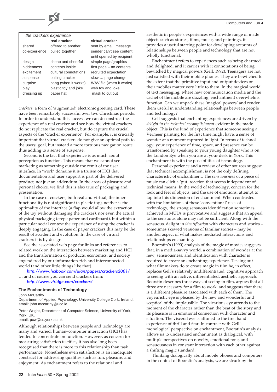|               | the crackers experience |                           |  |
|---------------|-------------------------|---------------------------|--|
|               | real cracker            | virtual cracker           |  |
| shared        | offered to another      | sent by email, message    |  |
| co-experience | pulled together         | sender can't see content  |  |
|               |                         | until opened by recipient |  |
| design        | cheap and cheerful      | simple page/graphics      |  |
| hiddenness    | contents inside         | first page - no contents  |  |
| excitement    | cultural connotations   | recruited expectation     |  |
| suspense      | pulling cracker         | slow  page change         |  |
| surprise      | bang (when it works)    | WAV file (when it works)  |  |
| play          | plastic toy and joke    | web toy and joke          |  |
| dressing up   | paper hat               | mask to cut out           |  |

*crackers*, a form of 'augmented' electronic greeting card. These have been remarkably successful over two Christmas periods. In order to understand this success we can deconstruct the experience of a real cracker and see how the virtual crackers do not replicate the real cracker, but do capture the crucial aspects of the 'cracker experience'. For example, it is crucially important that virtual crackers do not give an optimal path to the users' goal, but instead a more tortuous navigation route thus adding to a sense of suspense.

Second is the fact that experience is as much about perception as function. This means that we cannot see marketing as something outside the remit of the user interface. In 'work' domains it is a truism of HCI that documentation and user support is part of the delivered product, not just an addendum. In the areas of pleasure and personal choice, we find this is also true of packaging and presentation.

In the case of crackers, both real and virtual, the inner functionality is not significant (a plastic toy), neither is the optimality of the interface (a flap would allow the extraction of the toy without damaging the cracker), nor even the actual physical packaging (crepe paper and cardboard), but within a particular social context the experience of using the cracker is deeply engaging. In the case of paper crackers this may be the result of accident and evolution. In the case of virtual crackers it is by design.

See the associated web page for links and references to related work on the interaction between marketing and HCI and the transformation of products, economics, and society engendered by our information-rich and interconnected world (and other little things like that).

<http://www.hcibook.com/alan/papers/crackers2001/> … and of course you can send crackers from: <http://www.vfridge.com/crackers/>

#### **The Enchantments of Technology**

John McCarthy

Department of Applied Psychology, University College Cork, Ireland. email: john.mccarthy@ucc.ie

Peter Wright, Department of Computer Science, University of York, York, UK.

email: pcw@cs.york.ac.uk

Although relationships between people and technology are many and varied, human–computer interaction (HCI) has tended to concentrate on function. However, as concern for measuring satisfaction testifies, it has also long been recognised that there is more to this relationship than task performance. Nonetheless even satisfaction is an inadequate construct for addressing qualities such as fun, pleasure, and enjoyment. As enchantment refers to the relational and

aesthetic in people's experiences with a wide range of made objects such as stories, films, music, and paintings, it provides a useful starting point for developing accounts of relationships between people and technology that are not wholly functional.

Enchantment refers to experiences such as being charmed and delighted, and it carries with it connotations of being bewitched by magical powers (Gell, 1992). Teenagers are not just satisfied with their mobile phones. They are bewitched to the extent that the primitive input and output devices on their mobiles matter very little to them. In the magical world of text messaging, where new communication media and the cachet of the mobile are dazzling, enchantment overwhelms function. Can we unpack these 'magical powers' and render them useful in understanding relationships between people and technology?

Gell suggests that enchanting experiences are driven by *delight in the technical accomplishment* evident in the made object. This is the kind of experience that someone seeing a Vermeer painting for the first time might have, a sense of wonder at a moment captured in light. In terms of technology, your experience of time, space, and presence can be transformed by speaking to your young daughter who is on the London Eye when you are at your desk in York. This enchantment is with the possibilities of technology.

Personal experience and a review of other sources suggest that technical accomplishment is not the only defining characteristic of enchantment. The *sensuousness* of a piece of music can elicit a 'gut' reaction that seems independent of technical means. In the world of technology, concern for the look and feel of objects, and the use of emotions, attempt to tap into this dimension of enchantment. When contrasted with the limitations of these 'conventional' uses of technology, the strong sensuous identification sometimes achieved in MUDs is provocative and suggests that an appeal to the sensuous alone may not be sufficient. Along with the sensuous, delight in *identification* with characters and stories – sometimes skewed versions of familiar stories – may be another aspect of what makes mediated interactions and relationships enchanting.

Boorstin's (1990) analysis of the magic of movies suggests that, in a media-savvy world, a combination of wonder at the new, sensuousness, and identification with character is required to create an enchanting experience. Teasing out what filmmakers do to create magic in film he, in effect, replaces Gell's relatively undifferentiated, cognitive approach to seeing with an active, differentiated, aesthetic approach. Boorstin describes three ways of seeing in film, argues that all three are necessary for a film to work, and suggests that there is a different pleasure associated with each of them. The voyeuristic eye is pleased by the new and wonderful and sceptical of the implausible. The vicarious eye attends to the moment of the character rather than the beat of the story and its pleasure is in emotional connection with character and situation. The visceral eye is attuned to the first hand experience of thrill and fear. In contrast with Gell's monological perspective on enchantment, Boorstin's analysis allows us to understand enchantment as dialogical, with multiple perspectives on novelty, emotional tone, and sensuousness in constant interaction with each other against a shifting magic standard.

Thinking dialogically about mobile phones and computers in the context of Boorstin's analysis, we are struck by the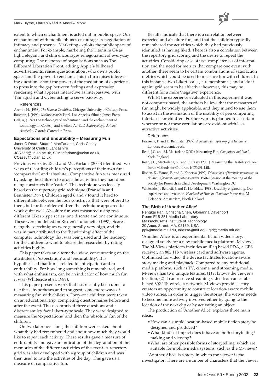#### Mark Blythe, Darren Reed & Andrew Monk

extent to which enchantment is acted out in public space. Our enchantment with mobile phones encourages renegotiation of intimacy and presence. Marketing exploits the public space of enchantment. For example, marketing the Titanium G4 as light, elegant, and slim encourages renegotiation of everyday computing. The response of organisations such as The Billboard Liberation Front, editing Apple's billboard advertisements, raises questions about who owns public space and the power to enchant. This in turn raises interesting questions about the power of the mediation of experience to press into the gap between feelings and expression, rendering what appears interactive as interpassive, with Tamagochi and Cyber acting to serve passivity.

#### References

Arendt, H. (1958). *The Human Condition*. Chicago: University of Chicago Press. Boorstin, J. (1990). *Making Movies Work*. Los Angeles: Silman-James Press. Gell, A, (1992) The technology of enchantment and the enchantment of

technology. In Coote, J. and Shelton, A. (Eds) *Anthropology, Art and Aesthetics*. Oxford: Clarendon Press.

### **Expectations and Endurability – Measuring Fun**

Janet C Read, Stuart J MacFarlane, Chris Casey University of Central Lancashire JCRead@uclan.ac.uk, SJMacfarlane@uclan.ac.uk, CCasey@uclan.ac.uk

Previous work by Read and MacFarlane (2000) identified two ways of recording children's perceptions of their own fun: 'comparative' and 'absolute'. Comparative fun was measured by asking the children to order the activities they had done using constructs like 'easier'. This technique was loosely based on the repertory grid technique (Fransella and Bannister 1977). Children aged 6 and 7 found it hard to differentiate between the four constructs that were offered to them, but for the older children the technique appeared to work quite well. Absolute fun was measured using two different Likert-type scales, one discrete and one continuous. These were modelled on Risden's funometer (1997). Scores using these techniques were generally very high, and this was in part attributed to the 'bewitching' effect of the computer technology that was being used and the tendency for the children to want to please the researcher by rating activities highly.

This paper takes an alternative view, concentrating on the attributes of 'expectation' and 'endurability'. It is hypothesised that fun is related to anticipation and to endurability. For how long something is remembered, and with what enthusiasm, can be an indicator of how much fun it was (Whiteside et al. 1988).

This paper presents work that has recently been done to test these hypotheses and to suggest some more ways of measuring fun with children. Forty-one children were taken on an educational trip, completing questionnaires before and after the event. These comprised three questions and a discrete smiley face Likert-type scale. They were designed to measure the 'expectations' and then the 'absolute' fun of the children.

On two later occasions, the children were asked about what they had remembered and about how much they would like to repeat each activity. These results gave a measure of endurability and gave an indication of the degradation of the memories of the different activities of the event. A repertory grid was also developed with a group of children and was then used to rate the activities of the day. This gave us a measure of comparative fun.

Results indicate that there is a correlation between expected and absolute fun, and that the children typically remembered the activities which they had previously identified as having liked. There is also a correlation between the repertory grid scoring and the desire to repeat the activities. Considering ease of use, completeness of information and the need for metrics that compare one event with another, there seem to be certain combinations of satisfaction metrics which could be used to measure fun with children. In this instance, two Likert scales, a remembrance, and a 'do it again' grid seem to be effective; however, this may be different for a more 'negative' experience.

Whilst the experience evaluated in this experiment was not computer based, the authors believe that the measures of fun might be widely applicable, and they intend to use them to assist in the evaluation of the usability of pen computing interfaces for children. Further work is planned to ascertain whether or not these correlations are evident with less attractive activities.

### References

- Fransella, F. and D. Bannister (1977). *A manual for repertory grid technique*. London: Academic Press.
- Read, J.C. and S.J. Macfarlane (2000). Measuring Fun. *Computers and Fun 2,* York, England.
- Read, J.C., Macfarlane, S.J. and C. Casey (2001). Measuring the Usability of Text Input Methods for Children. *HCI2001*, Lille.
- Risden, K., Hanna, E. and A. Kanerva (1997). *Dimensions of intrinsic motivation in children's favourite computer activities*. Poster Session at the meeting of the Society for Research in Child Development. Washington DC
- Whiteside, J., Bennett, J. and K. Holtzblatt (1988). Usability engineering. Our experience and evolution. *Handbook of Human–Computer Interaction*. M Helander. Amsterdam, North Holland.

### **The Birth of 'Another Alice'**

Pengkai Pan, Christina Chen, Glorianna Davenport Room E15-351 Media Laboratory Massachusetts Institute of Technology 20 Ames Street, MA, 02139, USA. ppk@media.mit.edu, odessa@mit.edu, gid@media.mit.edu

'Another Alice' is an experimental fiction video story, designed solely for a new mobile media platform, M-views. The M-Views platform includes an iPaq based PDA, a GPS receiver, an 802.11b wireless card and software agents. Optimized for video, the device facilitates location-aware story making and playback. Compared to any traditional media platform, such as TV, cinema, and streaming media, M-views has two unique features: (1) it knows the viewer's location, (2) it can receive streaming video from an established 802.11b wireless network. M-views provides story creators an opportunity to construct location-aware mobile video stories. In order to trigger the stories, the viewer needs to become more actively involved either by going to the location of the next clip or by activating an object.

The production of 'Another Alice' explores three main ideas:

- •How can a simple location-based mobile fiction story be designed and produced?
- •What kinds of impact does it have on both storytelling/ making and viewing?
- •What are other possible forms of storytelling, which are suitable for mobile media systems, such as the M-views?

'Another Alice' is a story in which the viewer is the investigator. There are a number of characters that the viewer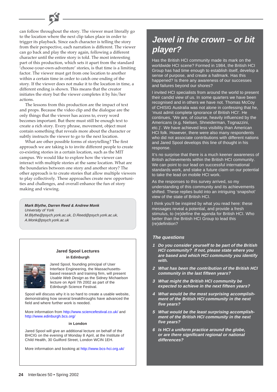### can follow throughout the story. The viewer must literally go to the location where the next clip takes place in order to trigger its playback. Since each character is telling the story from their perspective, each narration is different. The viewer can go back and play the story again, following a different character until the entire story is told. The most interesting part of this production, which sets it apart from the standard 'choose-your-own-adventure' stories, is that time is a limiting factor. The viewer must get from one location to another within a certain time in order to catch one ending of the story. If the viewer does not make it to the location in time, a different ending is shown. This means that the creator initiates the story but the viewer completes it by his/her actions.

The lessons from this production are the impact of text and props. Because the video clip and the dialogue are the only things that the viewer has access to, every word becomes important. But there must still be enough text to create a rich story. Every phrase, movement, object must contain something that reveals more about the character or subtly instructs the viewer to go to the next location.

What are other possible forms of storytelling? The first approach we are taking is to invite different people to create co-existing stories in a certain location, such as the MIT campus. We would like to explore how the viewer can interact with multiple stories at the same location. What are the boundaries between one story and another story? The other approach is to create stories that allow multiple viewers to play collectively. These approaches create new opportunities and challenges, and overall enhance the fun of story making and viewing.

**Mark Blythe, Darren Reed & Andrew Monk** University of York M.Blythe@psych.york.ac.uk, D.Reed@psych.york.ac.uk, A.Monk@psych.york.ac.uk

### **Jared Spool Lectures in Edinburgh**



Jared Spool, founding principal of User Interface Engineering, the Massachusettsbased research and training firm, will present Usable Web Design as the Sidney Michaelson lecture on April 7th 2002 as part of the Edinburgh Science Festival.

Spool will discuss why it is so hard to create a usable website, demonstrating how several breakthroughs have advanced the field and where further work is needed.

More information from<http://www.sciencefestival.co.uk/>and <http://www.edinburgh.bcs.org/>

### **in London**

Jared Spool will give an additional lecture on behalf of the BHCIG on the evening of Monday 8 April, at the Institute of Child Health, 30 Guilford Street, London WCIN 1EH.

More information and booking at<http://www.bcs-hci.org.uk/>

# **Jewel in the crown – or bit player?**

Has the British HCI community made its mark on the worldwide HCI scene? Formed in 1984, the British HCI Group has had time enough to establish itself, develop a sense of purpose, and create a hallmark. Has this happened? Is there any awareness of our successes and failures beyond our shores?

I invited HCI specialists from around the world to present their candid view of us. In some quarters we have been recognised and in others we have not. Thomas McCoy of CHISIG Australia was not alone in confessing that he, 'must admit complete ignorance of British HCI'. He continues, 'We are, of course, heavily influenced by the Americans (e.g. Nielsen, Shneiderman, Tognazzini, etc.)'. We have achieved less visibility than American HCI folk. However, there were also many respondents who did not associate contributions with different nations and Jared Spool develops this line of thought in his response.

It's no surprise that there is a much keener awareness of British achievements within the British HCI community. We can point to our lead on successful international standards work, and stake a future claim on our potential to take the lead on mobile HCI work.

As the responses to this survey arrived, so my understanding of this community and its achievements shifted. These replies build into an intriguing 'snapshot' view of the state of British HCI.

I think you'll be inspired by what you read here: these messages reveal a potential, and provide a fresh stimulus, to (re)define the agenda for British HCI. Who better than the British HCI Group to lead this (re)definition?

### **The questions**

- **1 Do you consider yourself to be part of the British HCI community? If not, please state where you are based and which HCI community you identify with.**
- **2 What has been the contribution of the British HCI community in the last fifteen years?**
- **3 What might the British HCI community be expected to achieve in the next fifteen years?**
- **4 What would be the most surprising accomplishment of the British HCI community in the next five years?**
- **5 What would be the least surprising accomplishment of the British HCI community in the next five years?**
- **6 Is HCI a uniform practice around the globe, or are there significant regional or national differences?**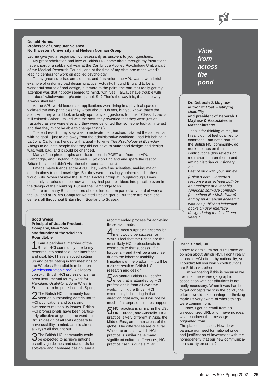#### **Donald Norman Professor of Computer Science Northwestern University and Nielsen Norman Group**

Let me give you a response, not necessarily as answers to your questions. My great admiration and love of British HCI came about through my frustrations. I spent part of a sabbatical year at the Cambridge Applied Psychology Unit, a part of the Medical Research Council, and at the time of my visit, one of the world's leading centers for work on applied psychology.

To my great surprise, amusement, and frustration, the APU was a wonderful example of uniformly bad design practice. Actually, I found England to be a wonderful source of bad design, but more to the point, the part that really got my attention was that nobody seemed to mind. "Oh, yes, I always have trouble with that door/switch/water tap/control panel. So? That's the way it is, that's the way it always shall be."

At the APU world leaders on applications were living in a physical space that violated the very principles they wrote about. "Oh yes, but you know, that's the staff. And they would look unkindly upon any suggestions from us." Class divisions still existed! (When I talked with the staff, they revealed that they were just as frustrated as everyone else and they were delighted that someone took an interest and that they might be able to change things.)

The end result of my stay was to motivate me to action. I started the sabbatical with no goal – just to get away from the administrative workload I had left behind in La Jolla, California. I ended with a goal - to write The Psychology of Everyday Things to educate people that they did not have to suffer bad design: bad design was, well, bad, and it could be changed.

Many of the photographs and illustrations in POET are from the APU, Cambridge, and England in general. (I pick on England and spare the rest of Britain because I didn't visit the other parts as much.)

I made many friends at the APU. They were fine scientists, making major contributions to our knowledge. But they were amazingly uninterested in the real world. Pity. When I visited the Human Factors group at Loughborough, I was pleasantly surprised to see how well they had put their ideas into practice even in the design of their building. But not the Cambridge folks.

There are many British centers of excellence. I am particularly fond of work at the OU and at RCA's Computer Related Design group. But there are excellent centers all throughout Britain from Scotland to Sussex.

### **Principal of Usable Products Company, New York, and founder of the Wireless Roundtable**

1I am a peripheral member of the British HCI community due to my research into handheld user interfaces and usability. I have enjoyed setting up and participating in two meetings of the Wireless Roundtable in London [\(wirelessroundtable.org\)](http://www.wirelessroundtable.org). Collaboration with British HCI professionals has been instrumental for my work for Handheld Usability, a John Wiley & Sons book to be published this Spring.

2The British HCI community has<br>been an outstanding contributor to HCI publications and to raising awareness of usability issues. British HCI professionals have been particularly effective at 'getting the word out'. British design of all sorts appears to have usability in mind, as it is almost always well thought out.

3The British HCI community could be expected to achieve national usability guidelines and standards for software and hardware design, and a

years.] **Scott Weiss** recommended process for achieving those standards.

> The most surprising accomplish-**F** ment would be success for WAP. I feel that the British are the most likely HCI professionals to contribute to that success. If it happens – and it will be a surprise due to the inherent usability limitations of the platform – it will be a direct result of British HCI research and design.

> 5An annual British HCI confer-ence that is attended by HCI professionals from all over the world. I think the British HCI community is heading in that direction right now, so it will not be much of a surprise if it does happen.

6HCI practice is similar in the US, UK, Europe, and Australia. HCI practice is very different in Asia, the Middle East, and other areas of the globe. The differences are cultural. While the areas in which HCI practice is similar have many significant cultural differences, HCI practice itself is quite similar.

**View from across the pond**

#### **Dr. Deborah J. Mayhew author of Cost Justifying Usability and president of Deborah J. Mayhew & Associates in Massachusetts**

Thanks for thinking of me, but I really do not feel qualified to comment. I am not a part of the British HCI community, do not keep tabs on their contributions (this reflects on me rather than on them!) and am no historian or visionary! :->

Best of luck with your survey!

[Editor's note: Deborah's response was echoed both by an employee at a very big American software company (something like McSoftware) and by an American academic who has published influential books on user interface design during the last fifteen

### **Jared Spool, UIE**

I have to admit, I'm not sure I have an opinion about British HCI. I don't really separate HCI efforts by nationality, so I couldn't tell you which contributions are British vs. other.

I'm wondering if this is because we live in a time where geographic association with contributions is not really necessary. When it was harder to get concepts "across the pond", the effort it would take to integrate thinking made us very aware of where things were coming from.

Now, I get an email from an unrecognized URL and I have no idea what continent that message originated from.

The planet is smaller. How do we balance our need for national pride and justification of investment with the homogeneity that our new communication society presents?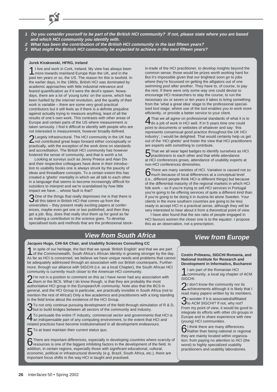- **1 Do you consider yourself to be part of the British HCI community? If not, please state where you are based and which HCI community you identify with.**
- **2 What has been the contribution of the British HCI community in the last fifteen years?**
- **3 What might the British HCI community be expected to achieve in the next fifteen years?**

### **Jurek Kirakowski, HFRG, Ireland**

1I live and work in Cork, Ireland. My view has always been more towards mainland Europe than the UK, and in the past ten years or so, the US. The reason for this is twofold. In the earlier days, in the 1980s, British HCI was dominated by academic approaches with little industrial relevance and feared quantification as if it were the devil's spawn. Nowadays, there are a lot of 'young turks' on the scene, which has been fuelled by the internet revolution, and the quality of their work is variable – there are some very good practical contributors but it still feels as if there is a definite prejudice against actually trying to measure anything, least of all the results of one's own work. This contrasts with other areas of Europe and certain parts of the US where measurement is taken seriously. I find it difficult to identify with people who are not interested in measurement, however broadly defined.

2Largely infrastructural. The HCI community in the UK has not contributed great leaps forward either conceptually or practically, with the exception of the work done on standards and accreditation. The British HCI community has however fostered the sense of community, and that is worth a lot.

Looking at surveys such as Jenny Preece and Alan Dix and their respective colleagues have done in their introduction to usability books one is always struck by the paucity of ideas and threadbare concepts. To a certain extent this has created a 'ghetto' mentality in which we all talk to each other in a language that seems to become increasingly difficult for outsiders to interpret and we're scandalised by how little impact we have… whose fault is that?

3One of the things that really depresses me is that there is all this talent in British HCI that comes up from the universities – they present really exciting papers at conferences, maybe even get one or two published, and then they get a job. Boy, does that really shut them up for good as far as making a contribution to the science goes. To develop specialised tools and methods that are the professional stockin-trade of the HCI practitioner, to develop insights beyond the common sense: those would be prizes worth working hard for. But it's impossible given that our brightest soon go to jobs where they're focussed on getting the alligators out of one swimming pool after another. They have to, of course, to pay the rent. If there were only some way one could devise to encourage HCI researchers to stay the course, to run the necessary six or seven or ten years it takes to bring something from the 'what a great idea' stage to the professional specialised tool stage, where use of the tool enables you to work more efficiently, or provide a better service to your client.

That we all agree on professional standards of what it is to  $\dagger$  do a job of work in HCI well. If in 5 years time one could point to documents or websites of whatever and say: 'this represents consensual good practice throughout the UK HCI industry', I would be delighted. That would certainly help us get out of the 'HCI ghetto' and foster the view that HCI practitioners are experts with something to contribute.

5That we all wear lapel badges to identify ourselves as HCI practitioners to each other and that while attendance at HCI conferences grows, attendance of usability experts at non-HCI conferences diminishes.

6There are many varieties of HCI. Variation is caused not so much because of local differences at a conceptual level (i.e., different people think HCI is different things) but because of the differential maturity of the regional markets in which HCI folk work – so if you're trying to sell HCI services in Portugal you're going to be offering services of quite a different kind than if you're going to be doing it in Austria let alone Sweden. Your clients in the more southern countries are going to be less ready to accept HCI in a practical sense, although they will be very interested to hear about it from a theoretical point of view.

I have also found that the sex ratio of people engaged in HCI favours women the closer one is to the equator. I propose this as an observation, not a prescription.

# **View from South Africa**

### **Jacques Hugo, CHI-SA Chair, and Usability Sciences Consulting CC**

In spite of our heritage, the fact that we speak 'British English' and that we are part of the Commonwealth, South Africa's African identity is growing stronger by the day. As far as HCI is concerned, we believe we have unique needs and problems that cannot be adequately addressed through an association with our British counterparts. Furthermore, through our alliance with SIGCHI (i.e. as a local Chapter), the South African HCI community is currently much closer to the American HCI community.

2I'm not in a position to comment on this as I have never had any association with them or the BCS. What I do know though, is that they are probably the most authoritative HCI group in the European/UK community. Note also that the BCS in general, and the HCI Group in particular, are practically invisible in South Africa (not to mention the rest of Africa!) Only a few academics and practitioners with a long standing in the field know about the existence of the HCI Group.

To not only continue pursuing development of the field through stimulation of R & D,  $\mathbf D$  but to build bridges between all sectors of the community and industry.

4To persuade the entire IT industry, commercial sector and governments that HCI is an indispensable part of any computing environment, to the extent that HCI and related practices have become institutionalised in all development endeavours.

To at least maintain their current status quo.<br>|<br>There are important differences. especially in developing countries where scarcity of 6There are important differences, especially in developing countries where scarcity of resources is one of the biggest inhibiting factors in the development of the field. In addition, in certain regions, especially those with significant educational, cultural, economic, political or infrastructural diversity (e.g. Brazil, South Africa, etc.), there are important focus shifts in the way HCI is taught and practised.

# **View from Europe**

**Costin Pribeanu, SIGCHI Romania, and National Institute for Research and Development in Informatics, Bucharest**

1I am part of the Romanian HCI community, a local sig chapter of ACM SIGCHI.

2<sup>1</sup> don't know the community nor its<br>
achievements although it is likely that I read many papers written by its members.

3I wonder if it is associated/affiliated to ACM SIGCHI? If not, why not? From my point of view, it would be good to integrate its efforts with other chi groups in Europe and to share experience with new (young) HCI communities.

6I think there are many differences. Rather than being national or regional they are mainly located within organization: from paying no attention to HCI (the worst) to highly specialized usability practitioners and usability laboratories.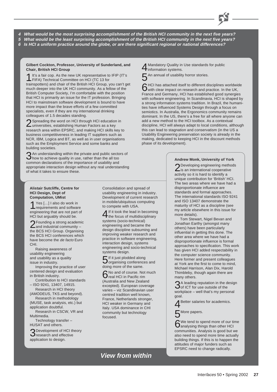**4 What would be the most surprising accomplishment of the British HCI community in the next five years? 5 What would be the least surprising accomplishment of the British HCI community in the next five years? 6 Is HCI a uniform practice around the globe, or are there significant regional or national differences?**

#### **Gilbert Cockton, Professor, University of Sunderland, and Chair, British HCI Group**

1<sup>It's</sup> a fair cop. As the new UK representative to IFIP (IT's FIFA) Technical Committee on HCI (TC 13 for trainspotters) and chair of the British HCI Group, you can't get much deeper into the UK HCI community. As a fellow of the British Computer Society, I'm comfortable with the position that HCI is primarily an issue for the IT profession. Bringing HCI to mainstream software development is bound to have more impact than the brave efforts of a few committed specialists, even if they are my international drinking colleagues of 1.5 decades standing.

2Spreading the word on HCI through HCI education in<br>universities, establishing Human Factors as a key research area within EPSRC, and making HCI skills key to business competitiveness in leading IT suppliers such as NCR, IBM, Logica and BT, as well as in user organisations such as the Employment Service and some banks and building societies.

3An understanding within the private and public sectors of how to achieve quality in use, rather than the all too common declarations of the importance of usability and appropriate interaction design without any real understanding of what it takes to ensure these.

#### **Alistair Sutcliffe, Centre for HCI Design, Dept of Computation, UMist**

1Yes […] I also do work in requirements and software engineering that are not part of HCI but arguably should be.

2Founding a strong academic and industrial community – the BCS HCI Group. Organising the BCS HCI conferences which have become the de facto Euro CHI.

Raising awareness of usability engineering and usability as a quality issue in industry.

Improving the practice of user centered design and evaluation in British industry.

Contribution to HCI standards – ISO 9241, 13407, 14915.

Research in HCI theory (AMODEUS, TKS and beyond).

Research in methodology (MUSE, task analysis, etc.) but application doubtful.

Research in CSCW, VR and Multimedia.

Technology transfer – HUSAT and others.

3Development of HCI theory research and effective application to design.

Consolidation and spread of usability engineering in industry. Development of current research in mobile/ubiquitous computing to compete with USA.

4If it took the lead in becoming the focus of multidisciplinary systems (socio-technical) engineering and became the design discipline subsuming and improving weaker research and practice in software engineering, interaction design, systems engineering and socio-technical systems design.

5If it just plodded along organising conferences and doing more of the same.

6No and of course. Not much real HCI in Pacific rim (Australia and New Zealand excepted). European coverage varies – viz Scandinavian user centred tradition well known, France, Netherlands stronger, HCI weaker in Germany and Italy. USA dominance in CHI community but technology focused.

# **View from within**

4Mandatory Quality in Use standards for public information systems.

5An annual of usability horror stories.<br>CHCl has attached itself to different disciplines worldwide GHCI has attached itself to different disciplines worldwide<br>With clear impact on research and practice. In the UK, France and Germany, HCI has established good synergies with software engineering. In Scandinavia, HCI is shaped by a strong information systems tradition. In Brazil, the humanities have influenced Systems Design through a focus on semiotics. In Australia, the Ergonomics community remains dominant. In the US, there's a free for all where anyone can add a new method to the HCI toolbox. As a contextual discipline, HCI will always adapt to local conditions, although this can lead to stagnation and conservatism (in the US a Usability Engineering preservation society is already in the making, dedicated to keeping HCI in the discount methods phase of its development).

### **Andrew Monk, University of York**

2Developing engineering methods is an international cooperative activity so it is hard to identify a unique contribution for 'British' HCI. The two areas where we have had a disproportionate influence are standards and formal approaches. The international standards ISO 9241 and ISO 13407 demonstrate the maturity of HCI as a discipline (see my article elsewhere in this issue for more details).

Tom Stewart, Nigel Bevan and Jonathan Earthy (amongst many others) have been particularly influential in getting this done. The other area where we have had a disproportionate influence is formal approaches to specification. This work has given HCI added respectability in the computer science community. Here former and present colleagues at York are the first to come to mind, Michael Harrison, Alan Dix, Harold Thimbleby, though again there are many others.

 $\mathbf{\Omega}$  A leading reputation in the design  $\mathbf 0$  of ICT for use outside of the workplace – well that's my personal goal.

Better salaries for academics.

More papers.

6We tend to spend more of our time analysing things than other HCI communities. Analysis is good but we also need to spend more time actually building things. If this is to happen the attitudes of major funders such as EPSRC need to change radically.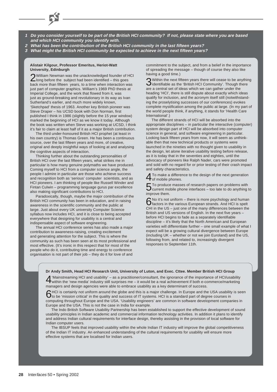- **1 Do you consider yourself to be part of the British HCI community? If not, please state where you are based and which HCI community you identify with.**
- **2 What has been the contribution of the British HCI community in the last fifteen years?**
- **3 What might the British HCI community be expected to achieve in the next fifteen years?**

### **Alistair Kilgour, Professor Emeritus, Heriot-Watt University, Edinburgh**

2William Newman was the unacknowledged founder of HCI long before the subject had been identified – this goes back more than fifteen years, to a time when interaction was just part of computer graphics. William's 1969 PhD thesis at Imperial College, and the work that flowed from it, was just as ground-breaking and revolutionary in its way as Ivan Sutherland's earlier, and much more widely known, 'Sketchpad' thesis of 1963. Another key British pioneer was Steve Draper – his UCSD book with Don Norman, first published I think in 1986 (slightly before the 15 year window) marked the beginning of HCI as we know it today. Although the book was written when Steve was working at UCSD, I think it's fair to claim at least half of it as a major British contribution.

The third under-honoured British HCI prophet (at least in his own country) is Thomas Green. He has been a continuous source, over the last fifteen years and more, of creative, original and deeply insightful ways of looking at and analysing the cognitive aspects of interaction.

Thinking further about the outstanding personalities of British HCI over the last fifteen years, what strikes me in particular is how many genuine polymaths we have produced. Coming myself to HCI from a computer science angle, the people I admire in particular are those who achieve success and recognition both as 'serious' computer scientists, and as HCI pioneers. I am thinking of people like Russell Winder and Fintan Culwin – programming language gurus par excellence also making significant contributions to HCI.

Paradoxically, though, maybe the major contribution of the British HCI community has been in education, and in raising awareness in the scientific community and the public at large. Just about every UK university Computer Science syllabus now includes HCI, and it is close to being accepted everywhere that designing for usability is a central and indispensable aspect of software engineering.

The annual HCI conference series has also made a major contribution to awareness-raising, creating excitement and generating attention for the subject. This is where the community as such has been seen at its most professional and most effective. (It's ironic in this respect that for most of the people who do it, contributing time and energy to conference organisation is not part of their job – they do it for love of and

commitment to the subject, and from a belief in the importance of spreading the message – though of course they also like having a good time.)

3Within the next fifteen years there will cease to be anything identifiable as the 'British HCI Community'. Though there are a central set of ideas which we can gather under the heading 'HCI', there is still dispute about exactly which ideas qualify for inclusion, and the acronym itself still (notwithstanding the proselytising successes of our conferences) evokes complete mystification among the public at large. (In my part of the world people think, if anything, it stands for 'Health Care International'.)

The different strands of HCI will be absorbed into the appropriate disciplines – in particular the interactive (computer) system design part of HCI will be absorbed into computer science in general, and software engineering in particular. Looking back fifteen years from now, it will seem as unthinkable then that new technical products or systems were launched in the nineties with no thought given to usability in the design, let alone iterative usability testing before release, as it is today that in the seventies and eighties, until the advocacy of pioneers like Ralph Nader, cars were promoted and sold with no regard for or prior testing of their crash impact and safety characteristics.

To make a difference to the design of the next generation **T** of mobile phones.

5To produce masses of research papers on problems with current mobile phone interfaces – too late to do anything to improve them.

6No it's not uniform – there is more psychology and human factors in the various European strands. And HCI is spelt CHI in the US – just one of the many differences between the British and US versions of English. In the next five years – before HCI begins to fade as a separately identifiable discipline – it's likely that the North American and European varieties will differentiate further – one small example of what I expect will be a growing cultural divergence between Europe (including UK – whether or not we join Euroland) and the US, following from, and related to, increasingly divergent responses to September 11th.

### **Dr Andy Smith, Head HCI Research Unit, University of Luton, and Exec. Cttee. Member British HCI Group**

4'Mainstreaming HCI and usability' – as a practitioner/consultant, the ignorance of the importance of HCI/usability within the 'new media' industry still surprises me – it would be a real achievement if both e-commerce/marketing managers and design agencies were able to embrace usability as a key determinant of success.

AHCI is certainly not uniform around the globe and this is a major challenge. In Europe and the USA usability is seen<br>O to be 'mission critical' in the quality and success of IT systems. HCI is a standard part of degree co computing throughout Europe and the USA. 'Usability engineers' are common in software development companies in Europe and the USA. This is not the case in India for example.

The Indo British Software Usability Partnership has been established to support the effective development of sound usability principles in Indian academic and commercial information technology activities. In addition it plans to identify and address Indian cultural requirements for interface design, thereby assisting in the provision of local software for Indian computer users.

The IBSUP feels that improved usability within the whole Indian IT industry will improve the global competitiveness of the Indian IT industry. An enhanced understanding of the cultural requirements for usability will ensure more effective systems that are localised for Indian users.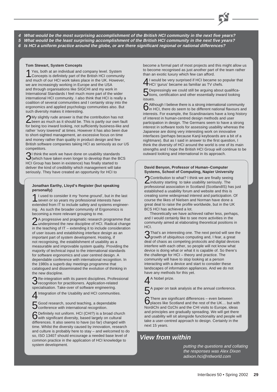**4 What would be the most surprising accomplishment of the British HCI community in the next five years? 5 What would be the least surprising accomplishment of the British HCI community in the next five years? 6 Is HCI a uniform practice around the globe, or are there significant regional or national differences?**

### **Tom Stewart, System Concepts**

Yes, both at an individual and company level. System Concepts is definitely part of the British HCI community and much of our HCI work takes place in the UK. However, we are increasingly working in Europe and the USA and through organisations like SIGCHI and my work in International Standards I feel much more part of the wider international HCI community. I also think that HCI is really a coalition of several communities and I certainly stray into the ergonomics and applied psychology communities also. But such diversity makes it interesting.

2My slightly rude answer is that the contribution has not been as much as it should be. This is partly our own fault for being too inward looking, not sufficiently business-like and rather 'ivory towered' at times. However it has also been due to short-sighted management, an excessive focus on time and money rather than quality in product design and few British software companies taking HCI as seriously as our US competitors.

31 think the work we have done on usability standards<br>(which have taken even longer to develop than the BCS HCI Group has been in existence) has finally started to deliver the kind of credibility which management will take seriously. They have created an opportunity for HCI to

### **Jonathan Earthy, Lloyd's Register (but speaking personally)**

1I used to consider it my 'home ground', but in the last seven or so years my professional interests have extended from IT to include safety and systems engineering. As such the broader community of Ergonomics is becoming a more relevant grouping to me.

2A progressive and pragmatic research programme that underpinned the new discipline of HCI. Radical change in the teaching of IT – extending it to include consideration of user issues and establishing interface design as an important part of system development. Hosting, if not recognising, the establishment of usability as a measurable and improvable system quality. Providing the majority of technical input to the international standards for software ergonomics and user centred design. A dependable conference with international recognition. In the 1980s a superb day meetings programme that catalogued and disseminated the evolution of thinking in the new discipline.

3Re-integration with its parent disciplines. Professional recognition for practitioners. Application-related specialisation. Take-over of software engineering.

Integration of the Usability and HCI communities.

5Good research, sound teaching, a dependable conference with international recognition.

6Definitely not uniform. HCI (CHI?) is a broad church with significant diversity, based largely on cultural differences. It also seems to have (so far) changed with time. Whilst the diversity caused by innovation, research and culture is probably here to stay – and welcomed to do so, ISO 13407 should encourage a needed base level of common practice in the application of HCI knowledge to system development.

become a formal part of most projects and this might allow us to become recognised as just another part of the team rather than an exotic luxury which few can afford.

4I would be very surprised if HCI became so popular that HCI 'gurus' became as familiar as TV chefs.

5Depressingly we could still be arguing about qualifica-tions, certification and other essentially inward looking issues.

GAlthough I believe there is a strong international community<br>O in HCI, there do seem to be different national flavours and interests. For example, the Scandinavians have a long history of interest in human-centred design methods and user participation in design. The Germans seem to have a strong interest in software tools for assessing usability whereas the Japanese are doing very interesting work on innovative interfaces (perhaps because Kanji keyboards are a bit of a nightmare). But as I said in answer to the first question, I think the diversity of HCI around the world is one of its main strengths and I hope the British HCI Group will continue to be outward looking and international in its approach.

### **David Benyon, Professor of Human–Computer Systems, School of Computing, Napier University**

2Contribution to what? I think we are finally seeing<br>industry starting to take usability seriously. The professional association in Scotland (ScotlandIS) has just established a usability forum and website and this is creating some widespread interest and participation. Of course the likes of Nielsen and Norman have done a great deal to raise the profile worldwide, but in the UK BCS HCI has achieved a lot.

Theoretically we have achieved rather less, perhaps, and I would certainly like to see more activities in the community aimed at elaborating theoretical positions in HCI.

3That's an interesting one. The next period will see the growth of ubiquitous computing and, I fear, a great deal of chaos as competing protocols and digital devices interfere with each other, so people will not know what device is doing what or what it is capable of. So there's the challenge for HCI – theory and practice. The community will have to stop looking at a person interacting with a device and start to consider these landscapes of information appliances. And we do not have any methods for this yet.

4A Nobel prize.

A paper on task analysis at the annual conference.

**6**There are significant differences – even between<br>places like Scotland and the rest of the UK... but with NordiChi and OzChi and the CHI visits to Europe, ideas and principles are gradually spreading. We will get there and usability will sit alongside functionality and people will take a user-centred approach to design. Certainly in the next 15 years.

# **View from within**

putting the questions and collating the responses was Alex Dixon adixon.hci@ntlworld.com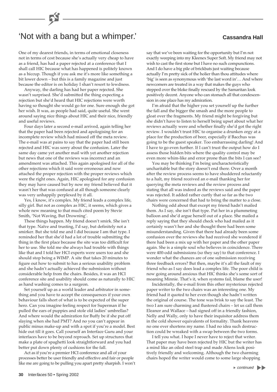# 'Not with a bang but a whimper.' **Cassandra Hall**

One of my dearest friends, in terms of emotional closeness not in terms of cost because she's actually very cheap to have as a friend, has had a paper rejected at a conference that I shall call HIC because what has happened is politely known as a hiccup. Though if you ask me it's more like something a bit lower down – but this is a family magazine and just because the editor is on holiday I shan't resort to lewdness.

Anyway, the darling has had her paper rejected. She wasn't surprised. She'd submitted the thing expecting a rejection but she'd heard that HIC rejections were worth having so thought she would go for one. Sure enough she got her wish. It was, as people had said, quite useful. She went around saying nice things about HIC and their nice, friendly and useful reviews.

Four days later a second e-mail arrived, again telling her that the paper had been rejected and apologising for an incomplete review which had missed off the meta review. The e-mail was at pains to say that the paper had still been rejected and HIC was sorry about the confusion. Later the same day came yet another mail with yet another rejection but news that one of the reviews was incorrect and an amendment was attached. This again apologised for all of the other rejections which it said were erroneous and now attached the proper rejection with the proper reviews which were the right ones. Again, HIC apologised for any confusion they may have caused but by now my friend believed that it wasn't her that was confused at all though someone clearly was very unhappily perplexed by it all.

Yes, I know, it's complex. My friend leads a complex life, silly girl. But not as complex as HIC, it seems, which gives a whole new meaning to that much cited poem by Stevie Smith, 'Not Waving, But Drowning'.

These things happen. My friend doesn't smirk. She isn't that type. Naïve and trusting, I'd say, but definitely not a smirker. But she told me and I did because I am that type. I reminded her that she'd had a lot of trouble submitting the thing in the first place because the site was too difficult for her to use. She told me she always had trouble with things like that and I told her HCI experts were users too and she should stop being a WIMP. A site that takes 20 minutes to figure out how to submit to has a serious usability problem and she hadn't actually achieved the submission without considerable help from the chairs. Besides, it was an HCI conference site and usability should come as naturally to HIC as hand washing comes to a surgeon.

Set yourself up as a world leader and arbitrator in something and you have to accept the consequences if your own behaviour falls short of what is to be expected of the super hero. Can you imagine feeling respect for Superman if he pulled the ears of puppies and stole old ladies' umbrellas? And where would the admiration for Buffy be if she put off slaying when she had PMT? And no you can't appear in public minus make-up and with a spot if you're a model. Best hide out till it goes. Call yourself an Interface Guru and your interfaces have to be beyond reproach. Set up structures that make a plate of spaghetti look straightforward and you had better put down plenty of cushions for the fall.

Act as if you're a premier HCI conference and all of your processes better be user friendly and effective and fair or people like me are going to be pulling you apart pretty sharpish. I won't say that we've been waiting for the opportunity but I'm not exactly weeping into my Kleenex Super Soft. My friend may not wish to cast the first stone but I have no such compunctions. And I do have a big pile of brickbats just waiting because actually I'm pretty sick of the holier than thou attitudes where 'big' is seen as synonymous with 'the last word in'… And where newcomers are treated in a way that makes the guys who stepped over the bloke finally rescued by the Samaritan look positively decent. Anyone who can stomach all that condescension in one place has my admiration.

I'm afraid that the higher you set yourself up the further the fall and the bigger the smash and the more people to gloat over the fragments. My friend might be forgiving but she didn't have to listen to herself being upset about what her reviews actually were and whether finally she'd got the right review. I wouldn't trust HIC to organise a drunken orgy at a place for the production of beer, especially if Bacchus was going to be the guest speaker. Too embarrassing darling! And I have to go even further. If I can't trust the output how do I assess those hidden bits where the quality control may be even more whim-like and error prone than the bits I can see?

You may be thinking I'm being uncharacteristically uncharitable but the story doesn't end there. Over a month after the review process seems to have shuddered reluctantly to a halt, my friend received an e-mail thanking her for querying the meta reviews and the review process and stating that all was indeed as the reviews said and the paper was rejected. It added rather curtly that so far as the two chairs were concerned that had to bring the matter to a close.

Nothing odd about that except my friend hadn't mailed them. As I say, she isn't that type. Put her in a plummeting balloon and she'd argue herself out of a place. She mailed a reply saying that they should check who had mailed as it certainly wasn't her and she thought there had been some misunderstanding. Given that there had already been some confusion over the reviews she had received she wondered if there had been a mix up with her paper and the other paper again. She is a simple soul who believes in coincidence. There were 400-odd submissions (so they say) to that conference. I wonder what the chances are of one submission receiving three feedback errors? But then, maybe it's all the fault of my friend who as I say does lead a complex life. The poor child is now going around anxious that HIC thinks she's some sort of moaning Minnie. That's it, when systems fail, blame the user!

Incidentally, the e-mail from this other mysterious rejected paper writer to the two chairs was an interesting one. My friend had it quoted to her even though she hadn't written the original of course. The tone was brisk to say the least. The two I am sure charming and flustered chairs – let us call them Eleanor and Wallace – had signed off in a friendly fashion, Nelly and Wally, only to have their inquisitor address them in the cold shower equivalents of formality. Thank heavens no one ever shortens my name. I had no idea such destruction could be wreaked with a swap between the two forms.

I tell you what. I hope I never have to reject that writer. That paper may have been rejected by HIC but the writer has a mind like an oiled steel trap and made Aliens look positively friendly and welcoming. Although the two charming chairs hoped the writer would come to some large shopping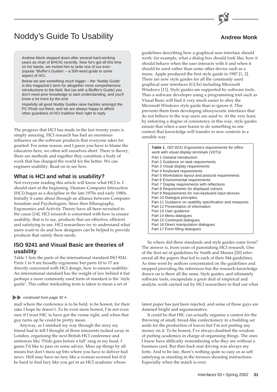# Noddy's Guide To Usability

### **Andrew Monk**

Andrew Monk stepped down after several hard-working years as chair of BHCIG recently. Now he's got all this time on his hands, we invited him to write one of our everpopular 'Bluffer's Guides' – a 500-word guide to some aspect of HCI.

Below we see something much bigger – the 'Noddy Guide' is this magazine's term for altogether more comprehensive introductions to the field. But (as with a Bluffer's Guide) you don't need prior knowledge to start understanding, and you'll know a lot more by the end.

Hopefully all good Noddy Guides raise hackles amongst the PC Plods out there, and we are always happy to afford other guardians of HCI tradition their right to reply.

The progress that HCI has made in the last twenty years is simply amazing. HCI research has had an enormous influence on the software products that everyone takes for granted. For some reason, and I guess you have to blame the educators here, we often sell ourselves short. There is theory, there are methods and together they constitute a body of work that has changed the world for the better. We can engineer usability. Read on to see how.

### **What is HCI and what is usability?**

Not everyone reading this article will know what HCI is. I should start at the beginning. Human–Computer Interaction (HCI) began as a discipline in the late 1970s and early 1980s. Initially it came about through an alliance between Computer Scientists and Psychologists. Since then Ethnography, Ergonomics and Activity Theory have all been recruited to the cause [14]. HCI research is concerned with how to ensure usability, that is to say, products that are effective, efficient and satisfying to use. HCI researchers try to understand what users want to do and how designers can be helped to provide products that satisfy these needs.

### **ISO 9241 and Visual Basic are theories of usability**

Table 1 lists the parts of the international standard ISO 9241. Parts 1 to 9 are broadly ergonomic but parts 10 to 17 are directly concerned with HCI design, how to ensure usability. An international standard has the weight of law behind it but perhaps a more commonly used form of standard is the 'style guide'. This rather misleading term is taken to mean a set of

### continued from page 30  $\blacktriangleright$

mall where the conference is to be held, to be honest, for their sake I hope he doesn't. To be even more honest, I'm not even sure if I trust HIC to have got the venue right, and when that guy turns up he could be pretty mean.

Anyway, as I smirked my way through the story my friend had to tell I thought of those innocents tucked away in London, organising the next British HCI conference and sentences like 'Pride goes before a fall' rang in my head. I guess I'd like to pass on some advice. Mess up things by all means but don't mess up bits where you have to deliver bad news. Hell may have no fury like a woman scorned but it'd be hard to find fury like you get in an HCI academic whose

guidelines describing how a graphical user interface should work: for example, what a dialog box should look like, how it should behave when the user interacts with it and when it should be used rather than some other device such as a menu. Apple produced the first style guide in 1987 [1, 2]. There are now style guides for all the commonly used graphical user interfaces (GUIs) including Microsoft Windows [11]. Style guides are supported by software tools. Thus a software developer using a programming tool such as Visual Basic will find it very much easier to obey the Microsoft Windows style guide than to ignore it. This prevents them from developing idiosyncratic interfaces that do not behave in the way users are used to. At the very least, by enforcing a degree of consistency in this way, style guides ensure that when a user learns to do something in one context that knowledge will transfer to new contexts in a sensible way.

| <b>Table 1. ISO 9241 Ergonomics requirements for office</b><br>work with visual display terminals (VDTs) |
|----------------------------------------------------------------------------------------------------------|
| Part 1 General Introduction                                                                              |
| Part 2 Guidance on task requirements                                                                     |
| Part 3 Visual display requirements                                                                       |
| Part 4 Keyboard requirements                                                                             |
| Part 5 Workstation layout and postural requirements                                                      |
| Part 6 Environmental requirements                                                                        |
| Part 7 Display requirements with reflections                                                             |
| Part 8 Requirements for displayed colours                                                                |
| Part 9 Requirements for non-keyboard input devices                                                       |
| Part 10 Dialogue principles                                                                              |
| Part 11 Guidance on usability specification and measures                                                 |
| Part 12 Presentation of information                                                                      |
| Part 13 User guidance                                                                                    |
| Part 14 Menu dialogues                                                                                   |
| Part 15 Command dialogues                                                                                |
| Part 16 Direct manipulation dialogues                                                                    |
| Part 17 Form filling dialogues                                                                           |

So where did these standards and style guides come from? The answer is, from years of painstaking HCI research. One of the first set of guidelines by Smith and Mosier [20] referenced all the papers that led to each of their 944 guidelines. As time went by authors concentrated on the guidelines and stopped providing the references but the research knowledge drawn on is there all the same. Style guides, and ultimately software tools, encapsulate a great deal of empirical and analytic work carried out by HCI researchers to find out what

latest paper has just been rejected, and some of those guys are damned bright and argumentative.

It could be that HIC can actually organise a contest for the throwing of small, bread-like confectionery in a building set aside for the production of loaves but I'm not putting any money on it. To be honest, I've always doubted the wisdom of putting academics in charge of organising things. The ones I know have difficulty remembering who they are without a business card. But then back seat driving was always my forte. And to be fair, there's nothing quite so easy or as self satisfying as standing in the terraces shouting instructions. Especially when the match is over.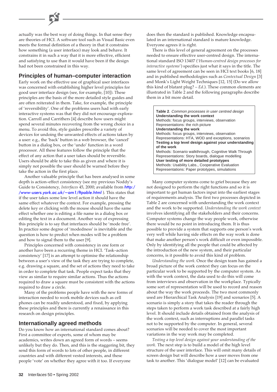actually was the best way of doing things. In that sense they are theories of HCI. A software tool such as Visual Basic even meets the formal definition of a theory in that it constrains how something (a user interface) may look and behave. It constrains it in such a way that it is more effective, efficient and satisfying to use than it would have been if the design had not been constrained in this way.

### **Principles of human–computer interaction**

Early work on the effective use of graphical user interfaces was concerned with establishing higher level principles for good user interface design (see, for example, [10]). These principles are the basis of the more detailed style guides and are often reiterated in them. Take, for example, the principle of 'reversibility'. One of the problems users had with early interactive systems was that they did not encourage exploration. Carroll and Carrithers [4] describe how users might spend several minutes recovering from the wrong choice in a menu. To avoid this, style guides prescribe a variety of devices for undoing the unwanted effects of actions taken by a user: e.g., the 'back' button in a web browser, the 'cancel' button in a dialog box, or the 'undo' function in a word processor. All these features follow the principle that the effect of any action that a user takes should be reversible. Users should be able to take this as given and where it is simply not possible the user should be warned before they take the action in the first place.

Another valuable principle that has been analysed in some depth is action–effect consistency (see my previous Noddy's Guide to Consistency, *Interfaces* 45, 2000; available from http:/ [/www-users.york.ac.uk/~am1/ftpable.html](http://www-users.york.ac.uk/~am1/ftpable.html) ). This states that if the user takes some low level action it should have the same effect whatever the context. For example, pressing the delete key or clicking with the mouse should have the same effect whether one is editing a file name in a dialog box or editing the text in a document. Another way of expressing this principle is to say that interfaces should be 'mode free'. In practice some degree of 'modedness' is inevitable and the question is how to predict when modes will be a problem and how to signal them to the user [9].

Principles concerned with consistency in one form or another have been a recurring theme in HCI. 'Task–action consistency' [17] is an attempt to optimise the relationship between a user's view of the task they are trying to complete, e.g. drawing a square, and the set of actions they need to take in order to complete that task. People expect tasks that they view as similar to require similar actions. Thus the actions required to draw a square must be consistent with the actions required to draw a circle.

Many of the problems people have with the new forms of interaction needed to work mobile devices such as cell phones can be readily understood, and fixed, by applying these principles and there is currently a renaissance in this research on design principles.

### **Internationally agreed methods**

Do you know how an international standard comes about? First a committee of experts, some of whom may be academics, writes down an agreed form of words – seems unlikely but they do. Then, and this is the staggering bit, they send this form of words to lots of other people, in different countries and with different vested interests, and these people 'vote' on whether they agree with it too. If everyone

does then the standard is published. Knowledge encapsulated in an international standard is mature knowledge. Everyone agrees it is right.

There is this level of general agreement on the processes needed to ensure effective user-centred design. The international standard ISO 13407 ('*Human-centred design processes for interactive systems*') specifies just what it says in the title. The same level of agreement can be seen in HCI text books [6, 18] and in published methodologies such as *Contextual Design* [3] and Monk's Light Weight Techniques [12, 15] (Do we allow this kind of blatant plug? – *Ed*.). These common elements are illustrated in Table 2 and the following paragraphs describe them in a bit more detail.

| Table 2. Common processes in user centred design<br>Understanding the work context<br>Methods: focus groups, interviews, observation<br>Representations: the rich picture<br>Understanding the work<br>Methods: focus groups, interviews, observation |
|-------------------------------------------------------------------------------------------------------------------------------------------------------------------------------------------------------------------------------------------------------|
| Representations: HTA, WOD and exceptions, scenarios<br>Testing a top level design against your understanding                                                                                                                                          |
| of the work                                                                                                                                                                                                                                           |
| Methods: Scenario walkthrough, Cognitive Walk Through                                                                                                                                                                                                 |
| Representations: Story boards, dialogue modelling<br>User testing of more detailed prototypes                                                                                                                                                         |
| Methods: Usability Labs., Cooperative Evaluation<br>Representations: Paper prototypes, simulations                                                                                                                                                    |

Many computer systems come to grief because they are not designed to perform the right functions and so it is important to get human factors input into the earliest stages of requirements analysis. The first two processes depicted in Table 2 are concerned with understanding the work context and the work to be supported. *Understanding the work context* involves identifying all the stakeholders and their concerns. Computer systems change the way people work, otherwise there would be no point in introducing them. It is thus possible to provide a system that supports one person's work very well while having side effects on the way work is done that make another person's work difficult or even impossible. Only by identifying all the people that could be affected by the introduction of the new system, and their particular concerns, is it possible to avoid this kind of problem.

*Understanding the work*. Once the design team has gained a broad picture of the work context they can focus on the particular work to be supported by the computer system. As with the work context, the data used to do this will come from interviews and observation in the workplace. Typically some sort of representation will be used to record and reason about the way the work proceeds. The two most commonly used are Hierarchical Task Analysis [19] and scenarios [5]. A scenario is simply a story that takes the reader through the steps taken to perform a work task described at a fairly high level. It should include details obtained from the analysis of the work context, such as interruptions and parallel tasks not to be supported by the computer. In general, several scenarios will be needed to cover the most important variations in the way work may be completed.

*Testing a top level design against your understanding of the work*. The next step is to build a model of the high level structure of the user interface. This will omit many details of screen design but will describe how a user moves from one task to another. This 'dialogue model' [12] can be evaluated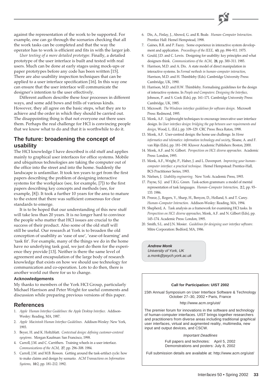

against the representation of the work to be supported. For example, one can go through the scenarios checking that all the work tasks can be completed and that the way the operator has to work is efficient and fits in with the larger job.

*User testing of a more detailed prototype*. Finally, a detailed prototype of the user interface is built and tested with real users. Much can be done at early stages using mock-ups or paper prototypes before any code has been written [15]. There are also usability inspection techniques that can be applied to a user interface specification [16]. In this way one can ensure that the user interface will communicate the designer's intention to the user effectively.

Different authors describe these four processes in different ways, and some add bows and frills of various kinds. However, they all agree on the basic steps, what they are to achieve and the order in which they should be carried out. The disappointing thing is that not everyone out there uses them. Perhaps the real challenge for HCI is convincing people that we know what to do and that it is worthwhile to do it.

## **The future: broadening the concept of usability**

The HCI knowledge I have described is old stuff and applies mainly to graphical user interfaces for office systems. Mobile and ubiquitous technologies are taking the computer out of the office into the street and into the home. Suddenly the landscape is unfamiliar. It took ten years to get from the first papers describing the problem of designing interactive systems for the workplace (see, for example, [7]) to the first papers describing key concepts and methods (see, for example, [8]). It took a further 10 years for the area to mature to the extent that there was sufficient consensus for clear standards to emerge.

It is to be hoped that our understanding of this new stuff will take less than 20 years. It is no longer hard to convince the people who matter that HCI issues are crucial to the success of their product. Also some of the old stuff will still be useful. Our research at York is to broaden the old conception of usability as 'ease of use', 'ease-of-learning' and 'task fit'. For example, many of the things we do in the home have no underlying task goal, we just do them for the experience they provide [13]. Neither is there the same level of agreement and encapsulation of the large body of research knowledge that exists on how we should use technology for communication and co-operation. Lots to do then, there is another world out there for us to change.

### **Acknowledgements**

My thanks to members of the York HCI Group, particularly Michael Harrison and Peter Wright for useful comments and discussion while preparing previous versions of this paper.

### **References**

- 1. *Apple Human Interface Guidelines: the Apple Desktop Interface*. Addison-Wesley: Reading, MA, 1987.
- 2. *Apple Macintosh Human Interface Guidelines*. Addison-Wesley: New York, 1993.
- 3. Beyer, H. and K. Holtzblatt. *Contextual design: defining customer-centered sysytems*. Morgan Kaufman: San Francisco, 1998.
- 4. Carroll, J.M. and C. Carrithers. Training wheels in a user interface. *Communications of the ACM*, **27**, pp. 296–308. 1984.
- 5. Carroll, J.M. and M.B. Rosson. Getting around the task-artifact cycle: how to make claims and design by scenario. *ACM Transactions on Information Systems*, **10**:2, pp. 181–212. 1992.
- 6. Dix, A., Finlay, J., Abowd, G. and R. Beale. *Human–Computer Interaction*. Prentice Hall: Hemel Hempstead, 1998.
- 7. Gaines, B.R. and P. Facey. Some experience in interactive system development and application. *Proceedings of the IEEE*, **63**, pp. 894–911. 1975.
- 8. Gould, J.D. and C. Lewis. Designing for usability: key principles and what designers think. *Communications of the ACM*, **28**, pp. 300–311. 1985.
- 9. Harrison, M.D. and A. Dix. A state model of direct manipulation in interactive systems. In *Formal methods in human–computer interaction*, Harrison, M.D. and H. Thimbleby (Eds). Cambridge University Press: Cambridge, UK, 1990.
- 10. Harrison, M.D. and H.W. Thimbleby. Formalising guidelines for the design of interactive systems. In *People and Computers: Designing the Interface*, Johnson, P. and S. Cook (Eds), pp. 161–171. Cambridge University Press: Cambridge, UK, 1985.
- 11. Microsoft. *The Windows interface guidelines for software design*. Microsoft Press: Redmond, 1995.
- 12. Monk, A.F. Lightweight techniques to encourage innovative user interface design. In *User interface design: bridging the gap between user requirements and design*, Wood, L. (Ed.), pp. 109–129. CRC Press: Boca Raton, 1998.
- 13. Monk, A.F. User-centred design: the home use challenge. In *Home informatics and telematics: information technology and society*, Sloane, A. and F. van Rijn (Eds), pp. 181–190. Kluwer Academic Publishers: Boston, 2000.
- 14. Monk, A.F. and N. Gilbert. *Perspectives on HCI: diverse approaches*. Academic Press: London, 1995.
- 15. Monk, A.F., Wright, P., Haber, J. and L. Davenport. *Improving your human– computer interface: a practical technique*. Hemel Hempstead: Prentice-Hall, BCS Practitioner Series, 1993.
- 16. Nielsen, J. *Usability engineering*. New York: Academic Press, 1993.
- 17. Payne, S.J. and T.R.G. Green. Task-action grammars: a model of mental representation of task languages. *Human–Computer Interaction*, **2**:2, pp. 93– 133. 1986.
- 18. Preece, J., Rogers, Y., Sharp, H., Benyon, D., Holland, S. and T. Carey. *Human–Computer Interaction*. Addison-Wesley: Reading, MA, 1994.
- 19. Shepherd, A. Task analysis as a framework for examining HCI tasks. In *Perspectives on HCI: diverse approaches*, Monk, A.F. and N. Gilbert (Eds), pp. 145–174. Academic Press: London, 1995.
- 20. Smith, S.L. and J.N. Mosier. *Guidelines for designing user interface software*. Mitre Corporation: Bedford, MA, 1986.

**Andrew Monk** University of York, UK a.monk@psych.york.ac.uk

### **Call for Participation: UIST 2002**

15th Annual Symposium on User Interface Software & Technology October 27–30, 2002 • Paris, France

#### http://www.acm.org/uist/

The premier forum for innovations in the software and technology of human-computer interfaces. UIST brings together researchers and practitioners from diverse areas including traditional graphical user interfaces, virtual and augmented reality, multimedia, new input and output devices, and CSCW.

Important Deadlines

Full papers and technotes: April 5, 2002 Demonstrations and posters: July 8, 2002

Full submission details are available at: http://www.acm.org/uist/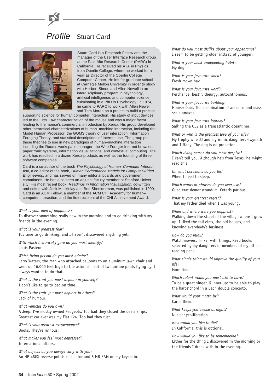# Profile Stuart Card



Stuart Card is a Research Fellow and the manager of the User Interface Research group at the Palo Alto Research Center (PARC) in California. He received his A.B. in Physics from Oberlin College, where he worked for a year as Director of the Oberlin College Computer Center. He left for graduate school at Carnegie Mellon University in order to study with Herbert Simon and Allen Newell in an interdisciplinary program in psychology, artificial intelligence, and computer science, culminating in a PhD in Psychology. In 1974, he came to PARC to work with Allen Newell and Tom Moran on a project to build a practical

supporting science for human computer interaction. His study of input devices led to the Fitts' Law characterization of the mouse and was a major factor leading to the mouse's commercial introduction by Xerox. His group developed other theoretical characterizations of human–machine interaction, including the Model Human Processor, the GOMS theory of user interaction, Information Foraging Theory, and statistical descriptions of Internet use. The group put these theories to use in new paradigms of human–machine interaction including the Rooms workspace manager, the Web Forager Internet browser, papertronic systems, information visualizations, and contextual computing. The work has resulted in a dozen Xerox products as well as the founding of three software companies.

Card is a co-author of the book The Psychology of Human–Computer Interaction, a co-editor of the book, Human Performance Models for Computer-Aided Engineering, and has served on many editorial boards and government committees. He has also been an adjunct faculty member at Stanford University. His most recent book, Readings in Information Visualization, co-written and edited with Jock Mackinlay and Ben Shneiderman, was published in 1999. Card is an ACM Fellow, a member of the ACM CHI Academy for human– computer interaction, and the first recipient of the CHI Achievement Award.

### *What is your idea of happiness?*

To discover something really new in the morning and to go drinking with my friends in the evening.

*What is your greatest fear?* It's time to go drinking, and I haven't discovered anything yet.

*With which historical figure do you most identify?* Louis Pasteur

#### *Which living person do you most admire?*

Larry Waters, the man who attached balloons to an aluminum lawn chair and went up 16,000 feet high to the astonishment of two airline pilots flying by. I always wanted to do that.

*What is the trait you most deplore in yourself?* I don't like to go to bed on time.

*What is the trait you most deplore in others?* Lack of humour.

*What vehicles do you own?*

A Jeep. I've mostly owned Peugeots. Too bad they closed the dealerships. Greatest car ever was my Fiat 124. Too bad they rust.

*What is your greatest extravagance?* Books. They're ruinous.

*What makes you feel most depressed?* International affairs.

*What objects do you always carry with you?* An HP-48GX reverse polish calculator and 8 MB RAM on my keychain.

*What do you most dislike about your appearance?* I seem to be getting older instead of younger.

*What is your most unappealing habit?* My dog.

*What is your favourite smell?* Fresh mown hay.

*What is your favourite word?* Perchance, bestir, theurgy, autochthonous.

*What is your favourite building?* Hoover Dam. The combination of art deco and mass scale amazes.

*What is your favourite journey?* Sailing the QE2 as a transatlantic oceanliner.

*What or who is the greatest love of your life?* My trophy wife JJ and my ironic daughters Gwyneth and Tiffany. The dog is on probation.

*Which living person do you most despise?* I can't tell you. Although he's from Texas, he might read this.

*On what occasions do you lie?* When I need to sleep.

*Which words or phrases do you over-use?* Quad erat demonstrandum. Ceteris paribus.

*What is your greatest regret?* That my father died when I was young.

*When and where were you happiest?* Walking down the street of the village where I grew up. I liked the tall elms, the old houses, and knowing everybody's business.

*How do you relax?* Watch movies. Tinker with things. Read books selected by my daughters or members of my official reading panel.

*What single thing would improve the quality of your life?*

More time.

*Which talent would you most like to have?* To be a great singer. Runner up: to be able to play the harpsichord in a Bach double concerto.

*What would your motto be?* Carpe Diem.

*What keeps you awake at night?* Nuclear proliferation.

*How would you like to die?* In California, this is optional.

*How would you like to be remembered?* Either for the thing I discovered in the morning or the friends I drank with in the evening.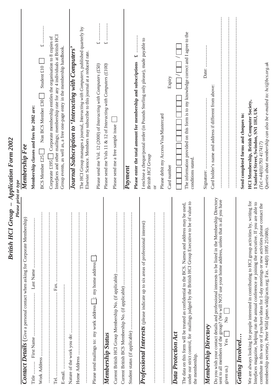| Please print or type<br><b>British HCI Group</b>                                                                                                                                                                                                                                                                                                                                                        | <b>Application Form 2002</b>                                                                                                                                                                                                                          |
|---------------------------------------------------------------------------------------------------------------------------------------------------------------------------------------------------------------------------------------------------------------------------------------------------------------------------------------------------------------------------------------------------------|-------------------------------------------------------------------------------------------------------------------------------------------------------------------------------------------------------------------------------------------------------|
| <b>Contact Details</b> (Give a personal contact when asking for Corporate Membership)                                                                                                                                                                                                                                                                                                                   | Membership Fee                                                                                                                                                                                                                                        |
| Title                                                                                                                                                                                                                                                                                                                                                                                                   | Membership classes and fees for 2002 are:                                                                                                                                                                                                             |
| $\vdots$                                                                                                                                                                                                                                                                                                                                                                                                | Student $£10$<br>Non BCS Member £30<br><b>BCS Member £25</b>                                                                                                                                                                                          |
| ŧ<br>$\vdots$<br><u>.</u><br>.<br>.<br>.<br>.<br>Fax.<br>Tel                                                                                                                                                                                                                                                                                                                                            | Interfaces and other mailings; membership rate for any 4 individuals at British HCI<br>Corporate membership entitles the organisation to 8 copies of<br>Group events, as well as, a free one-page entry in the membership handbook.<br>Corporate £195 |
| ÷<br>Nature of the work you do:                                                                                                                                                                                                                                                                                                                                                                         | Journal Subscription to 'Interacting with Computers'                                                                                                                                                                                                  |
| $\vdots$<br>$\vdots$                                                                                                                                                                                                                                                                                                                                                                                    | The HCI Group manages a journal, Interacting with Computers, published quarterly by<br>Elsevier Science. Members may subscribe to this journal at a reduced rate.                                                                                     |
| $\perp$ ; my home address<br>Please send mailings to: my work address                                                                                                                                                                                                                                                                                                                                   | $\overline{u}$<br>Please send me Vol. 12 (2000) of Interacting with Computers (£50)                                                                                                                                                                   |
| Membership Status                                                                                                                                                                                                                                                                                                                                                                                       | <br>$\overline{f}$<br>Please send me Vols 11 & 12 of Interacting with Computers (£100)                                                                                                                                                                |
| $\vdots$                                                                                                                                                                                                                                                                                                                                                                                                | Please send me a free sample issue                                                                                                                                                                                                                    |
| $\vdots$<br>:::::::::::                                                                                                                                                                                                                                                                                                                                                                                 |                                                                                                                                                                                                                                                       |
|                                                                                                                                                                                                                                                                                                                                                                                                         | 48<br>Please enter the total amount for membership and subscriptions<br>Payment                                                                                                                                                                       |
| Professional Interests (please indicate up to six areas of professional interest)                                                                                                                                                                                                                                                                                                                       | I enclose a cheque/postal order (in Pounds Sterling only please), made payable to<br><b>British HCI Group</b>                                                                                                                                         |
| $\vdots$<br>$\vdots$                                                                                                                                                                                                                                                                                                                                                                                    | Please debit my Access/Visa/Mastercard<br>ð                                                                                                                                                                                                           |
|                                                                                                                                                                                                                                                                                                                                                                                                         | Expiry<br>Card number                                                                                                                                                                                                                                 |
| value to<br>The data on this form will be treated as confidential to the BCS. Names and address may be used,<br>under our strict control, for mailings judged by the British HCI Group Executive to be of<br>Data Protection Act<br>the membership.                                                                                                                                                     | The information provided on this form is to my knowledge correct and I agree to the<br>conditions stated.                                                                                                                                             |
| Membership Directory                                                                                                                                                                                                                                                                                                                                                                                    |                                                                                                                                                                                                                                                       |
| Do you wish your contact details and professional interests to be listed in the Membership Directory<br>you have<br>sent to all members of the group? (We will NOT use your home address, unless that is all<br>$\mathsf{z}^{\circ}$<br>Yes <sub>1</sub><br>given us.)                                                                                                                                  | Card holder's name and address if different from above:                                                                                                                                                                                               |
| <b>Getting Involved</b>                                                                                                                                                                                                                                                                                                                                                                                 | Send completed forms and cheques to:                                                                                                                                                                                                                  |
| We are always looking for people interested in contributing to HCI group activities by, writing for<br>able to<br>contribute in this way or if you have ideas for 1-day meetings or new activities please contact the<br>Interfaces magazine, helping run the annual conference or joining the executive. If you are<br>membership secretary, Peter Wild (peter.wild@acm.org; Fax. +44(0) 1895 251686). | Queries about membership can also be e-mailed to: hci@bcs.org.uk<br><b>HCI Membership, British Computer Society,</b><br>1 Sanford Street, Swindon, SN1 1HJ, UK<br>$(Tel + 44(0)I7934I74I7)$                                                           |